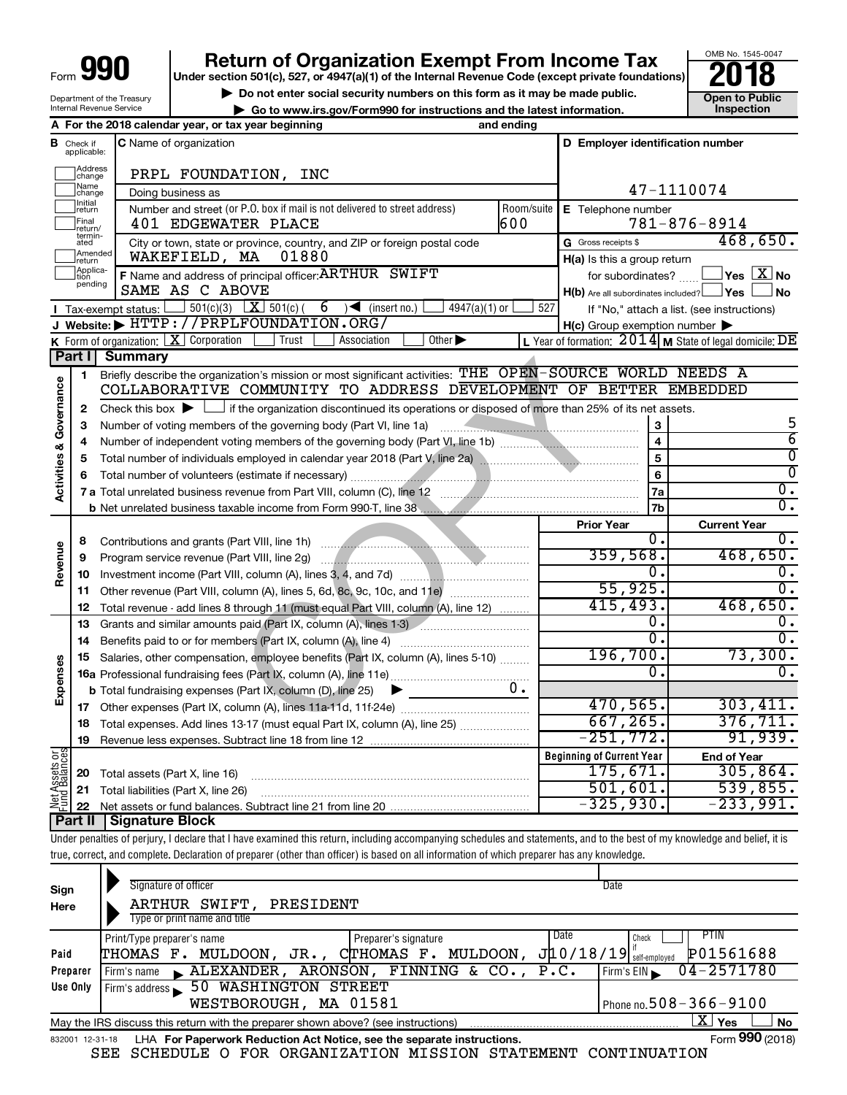| Form · | 991 |
|--------|-----|
|        |     |

Department of the Treasury Internal Revenue Service

# **Return of Organization Exempt From Income Tax**<br>r section 501(c), 527, or 4947(a)(1) of the Internal Revenue Code (except private foundations)<br>**2018**

**Under section 501(c), 527, or 4947(a)(1) of the Internal Revenue Code (except private foundations)**

OMB No. 1545-0047

**b** Do not enter social security numbers on this form as it may be made public.<br> **Go to www.irs.gov/Form990 for instructions and the latest information. 
<br>
Inspection** 

**| Go to www.irs.gov/Form990 for instructions and the latest information. Inspection**

**A For the 2018 calendar year, or tax year beginning and ending B** Check if **C** Name of organization **C D** Employer identification number Check if **C** Name of organization applicable: Haddress<br>
change PRPL FOUNDATION, INC Name<br>
change 47-1110074 Doing business as **Francisco Initial**<br> **Treturn E** Telephone number Number and street (or P.O. box if mail is not delivered to street address) Room/suite | E Telephone number Final<br>|return/<br>|termin-<br>|ated 401 EDGEWATER PLACE 600 781-876-8914 Final **401 EDGEWATER PLACE**<br>returnin-<br>ated City or town, state or province, country, and ZIP or foreign postal code Gross receipts \$ 468,650. G Gross receipts \$ **Example 1**<br>Treturn WAKEFIELD, MA 01880 **H(a)** Is this a group return Applica-<br>
pending<br>
pending **F** Name and address of principal officer: ARTHUR SWIFT 6 6 for subordinates? **The ST No F** Name and address of principal officer: ARTHUR SWIFT SAME AS C ABOVE  $H(b)$  Are all subordinates included?  $\Box$  Yes  $\Box$  No  $\Box$  501(c)(3)  $\boxed{\mathbf{X}}$  501(c)( 6)  $\blacktriangleleft$  (insert no.)  $\Box$  4947(a)(1) or  $\Box$  527 Tax-exempt status: If "No," attach a list. (see instructions) **I J Website: |** HTTP://PRPLFOUNDATION.ORG/ **H(c)** Group exemption number **K** Form of organization:  $\boxed{\mathbf{X}}$  Corporation  $\boxed{\phantom{a}}$  Trust  $\boxed{\phantom{a}}$  Association  $\boxed{\phantom{a}}$ Form of organization:  $\boxed{\textbf{X}}$  Corporation  $\boxed{\phantom{\textbf{X}}}$  Trust  $\boxed{\phantom{\textbf{X}}}$  Association  $\boxed{\phantom{\textbf{X}}}$  Other  $\blacktriangleright$   $\phantom{\textbf{X}}$   $\phantom{\textbf{X}}$  Year of formation:  $2014$  **M** State of legal domicile:  $\textbf{DE}$ **Part I** Summary example of mission or most significant activities: THE OPEN-SOURCE<br>
COMMUNITY TO ADDRESS DEVELOPMENT OF BI<br>
the organization discontinued its operations or disposed of more than 25%<br>
of the governing body (Part VI, line 1a Briefly describe the organization's mission or most significant activities: THE OPEN-SOURCE WORLD NEEDS A **1** Activities & Governance **Activities & Governance** COLLABORATIVE COMMUNITY TO ADDRESS DEVELOPMENT OF BETTER EMBEDDED Check this box  $\blacktriangleright$  if the organization discontinued its operations or disposed of more than 25% of its net assets. **2** 5 **3 3** Number of voting members of the governing body (Part VI, line 1a) www.communically.com/communically 6 **4 4** Number of independent voting members of the governing body (Part VI, line 1b) *..................................*  $\overline{0}$ **5 5** Total number of individuals employed in calendar year 2018 (Part V, line 2a) ~~~~~~~~~~~~~~~~  $\overline{0}$ **6 6** Total number of volunteers (estimate if necessary) ~~~~~~~~~~~~~~~~~~~~~~~~~~~~~  $\overline{0}$  . **7a 7 a** Total unrelated business revenue from Part VIII, column (C), line 12 ~~~~~~~~~~~~~~~~~~~~ 0. **7b b** Net unrelated business taxable income from Form 990-T, line 38 **Prior Year Current Year** Contributions and grants (Part VIII, line 1h) ~~~~~~~~~~~~~~~~~~~~~ 0. 0. **8 Revenue** 359,568. 468,650. Program service revenue (Part VIII, line 2g) ~~~~~~~~~~~~~~~~~~~~~ **9** Investment income (Part VIII, column (A), lines 3, 4, and 7d) ~~~~~~~~~~~~~  $\begin{array}{ccc} 0 \end{array}$  . **10** 55,925. 0. **11** Other revenue (Part VIII, column (A), lines 5, 6d, 8c, 9c, 10c, and 11e) 415,493. 468,650. Total revenue - add lines 8 through 11 (must equal Part VIII, column (A), line 12) **12**  $\overline{0.}$  0. **13** Grants and similar amounts paid (Part IX, column (A), lines 1-3) \_\_\_\_\_\_\_\_\_\_\_\_\_\_\_\_\_\_\_\_\_  $\overline{0.1}$   $\overline{0.0}$ **14** Benefits paid to or for members (Part IX, column (A), line 4) www.communically.com 196,700. 73,300. **15** Salaries, other compensation, employee benefits (Part IX, column (A), lines 5-10)  $\ldots \ldots \ldots$ **Expenses**  $\begin{array}{ccc} 0 \end{array}$  . **16 a** Professional fundraising fees (Part IX, column (A), line 11e) ~~~~~~~~~~~~~~ 0. **b** Total fundraising expenses (Part IX, column (D), line 25) 470,565. 303,411. **17** Other expenses (Part IX, column (A), lines 11a-11d, 11f-24e) ………………………………… 667,265. 376,711. **18** Total expenses. Add lines 13-17 (must equal Part IX, column (A), line 25) .....................  $-251,772.$  91,939. **19** Revenue less expenses. Subtract line 18 from line 12 **Net Assets or Fund Balances Beginning of Current Year End of Year** 175,671. 305,864. **20** Total assets (Part X, line 16) ~~~~~~~~~~~~~~~~~~~~~~~~~~~~ 501,601. 539,855. **21** Total liabilities (Part X, line 26) ~~~~~~~~~~~~~~~~~~~~~~~~~~~  $325,930.$   $-233,991.$ **22** Net assets or fund balances. Subtract line 21 from line 20 **Part II Signature Block**

Under penalties of perjury, I declare that I have examined this return, including accompanying schedules and statements, and to the best of my knowledge and belief, it is true, correct, and complete. Declaration of preparer (other than officer) is based on all information of which preparer has any knowledge.

| Sign<br>Here    | Signature of officer<br>SWIFT,<br>PRESIDENT<br>ARTHUR<br>Type or print name and title                               | Date                                                     |
|-----------------|---------------------------------------------------------------------------------------------------------------------|----------------------------------------------------------|
| Paid            | Date<br>Print/Type preparer's name<br>Preparer's signature<br>CTHOMAS F. MULDOON,<br>MULDOON ,<br>THOMAS F.<br>JR., | PTIN<br>Check<br>P01561688<br>$J$ 10/18/19 self-employed |
| Preparer        | ARONSON, FINNING & CO., P.C.<br>$\blacktriangle$ ALEXANDER,<br>Firm's name                                          | $04 - 2571780$<br>Firm's EIN                             |
| Use Only        | 50 WASHINGTON<br>STREET<br>Firm's address                                                                           |                                                          |
|                 | WESTBOROUGH, MA 01581                                                                                               | Phone no. $508 - 366 - 9100$                             |
|                 | May the IRS discuss this return with the preparer shown above? (see instructions)                                   | x<br>Yes<br><b>No</b>                                    |
| 832001 12-31-18 | LHA For Paperwork Reduction Act Notice, see the separate instructions.                                              | Form 990 (2018)                                          |

SEE SCHEDULE O FOR ORGANIZATION MISSION STATEMENT CONTINUATION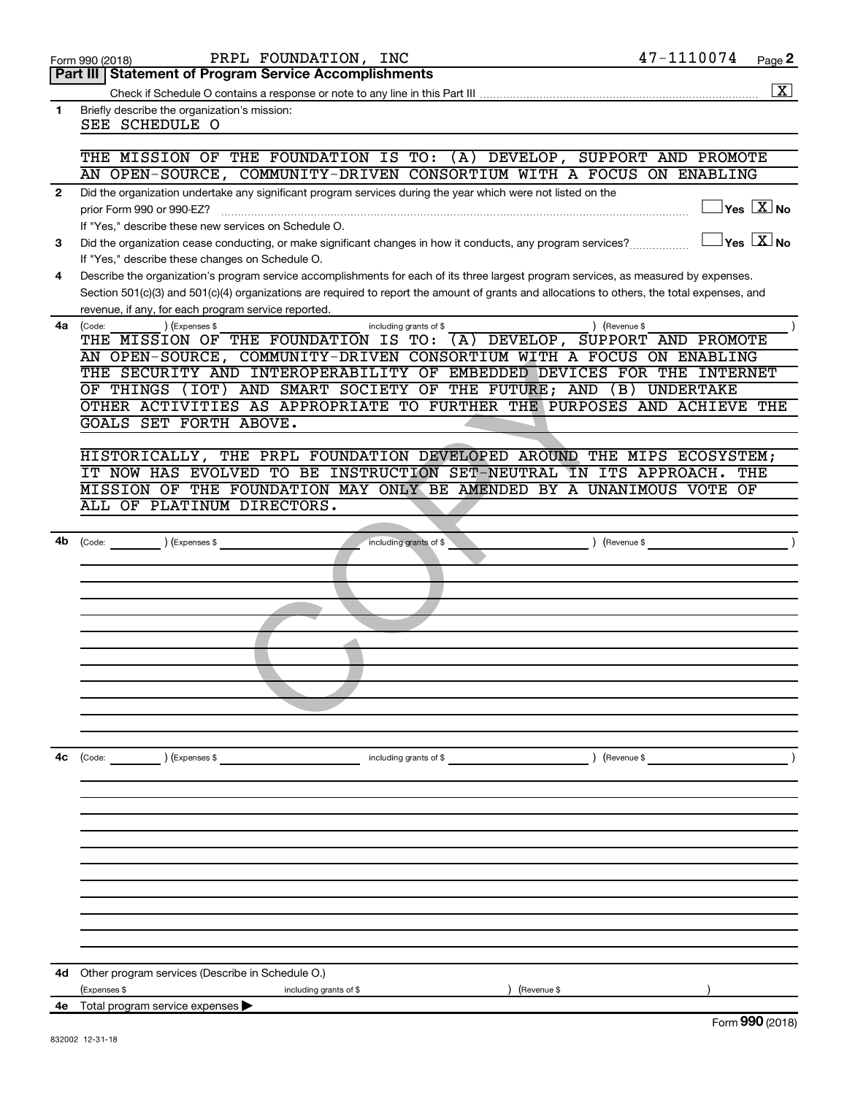| Form 990 (2018) |  |
|-----------------|--|
|-----------------|--|

**1**

Form 990 (2018) Page PRPL FOUNDATION, INC 47-1110074

**Part III Statement of Program Service Accomplishments**

 $\boxed{\text{X}}$ 

| Check if Schedule O contains a response or note to any line in this Part III. |  |
|-------------------------------------------------------------------------------|--|
|                                                                               |  |

Briefly describe the organization's mission: SEE SCHEDULE O

#### THE MISSION OF THE FOUNDATION IS TO: (A) DEVELOP, SUPPORT AND PROMOTE AN OPEN-SOURCE, COMMUNITY-DRIVEN CONSORTIUM WITH A FOCUS ON ENABLING

| Did the organization undertake any significant program services during the year which were not listed on the |                               |
|--------------------------------------------------------------------------------------------------------------|-------------------------------|
| prior Form 990 or 990-EZ?                                                                                    | $ Y_{\rm es} $<br><b>XINO</b> |
| If "Yes." describe these new services on Schedule O.                                                         |                               |

**3 No** Did the organization cease conducting, or make significant changes in how it conducts, any program services?  $\ldots$ If "Yes," describe these changes on Schedule O.

**4** Describe the organization's program service accomplishments for each of its three largest program services, as measured by expenses. Section 501(c)(3) and 501(c)(4) organizations are required to report the amount of grants and allocations to others, the total expenses, and revenue, if any, for each program service reported.

| 4a | Code: | ) (Expenses \$                                                          |  |                                          | including grants of \$ |  | Revenue \$ |                                                       |  |
|----|-------|-------------------------------------------------------------------------|--|------------------------------------------|------------------------|--|------------|-------------------------------------------------------|--|
|    | THE   | MISSION OF THE FOUNDATION IS TO:                                        |  |                                          |                        |  |            | (A) DEVELOP, SUPPORT AND PROMOTE                      |  |
|    |       | AN OPEN-SOURCE, COMMUNITY-DRIVEN CONSORTIUM WITH A FOCUS ON ENABLING    |  |                                          |                        |  |            |                                                       |  |
|    |       | THE SECURITY AND                                                        |  |                                          |                        |  |            | INTEROPERABILITY OF EMBEDDED DEVICES FOR THE INTERNET |  |
|    |       | OF THINGS (IOT)                                                         |  | AND SMART SOCIETY OF THE FUTURE; AND (B) |                        |  |            | UNDERTAKE                                             |  |
|    |       | OTHER ACTIVITIES AS APPROPRIATE TO FURTHER THE PURPOSES AND ACHIEVE THE |  |                                          |                        |  |            |                                                       |  |
|    |       | GOALS SET FORTH ABOVE.                                                  |  |                                          |                        |  |            |                                                       |  |

| AN OPEN-SOURCE, COMMONITI-DRIVEN CONSORTIUM WITH A FOCUS ON ENABLING    |
|-------------------------------------------------------------------------|
| THE SECURITY AND INTEROPERABILITY OF EMBEDDED DEVICES FOR THE INTERNET  |
| OF THINGS (IOT) AND SMART SOCIETY OF THE FUTURE; AND (B) UNDERTAKE      |
| OTHER ACTIVITIES AS APPROPRIATE TO FURTHER THE PURPOSES AND ACHIEVE THE |
| GOALS SET FORTH ABOVE.                                                  |
|                                                                         |
| HISTORICALLY, THE PRPL FOUNDATION DEVELOPED AROUND THE MIPS ECOSYSTEM;  |
| IT NOW HAS EVOLVED TO BE INSTRUCTION SET-NEUTRAL IN ITS APPROACH. THE   |
| MISSION OF THE FOUNDATION MAY ONLY BE AMENDED BY A UNANIMOUS VOTE OF    |
| ALL OF PLATINUM DIRECTORS.                                              |
|                                                                         |
| 4b (Code: ) (Expenses \$                                                |
|                                                                         |
|                                                                         |
|                                                                         |
|                                                                         |
|                                                                         |
|                                                                         |
|                                                                         |
|                                                                         |
|                                                                         |
|                                                                         |
|                                                                         |
|                                                                         |
|                                                                         |
|                                                                         |
|                                                                         |
|                                                                         |
|                                                                         |
|                                                                         |
|                                                                         |
|                                                                         |
|                                                                         |
|                                                                         |
|                                                                         |
|                                                                         |
|                                                                         |
| 4d Other program services (Describe in Schedule O.)                     |
| (Expenses \$<br>including grants of \$<br>) (Revenue \$                 |
| 4e Total program service expenses >                                     |
|                                                                         |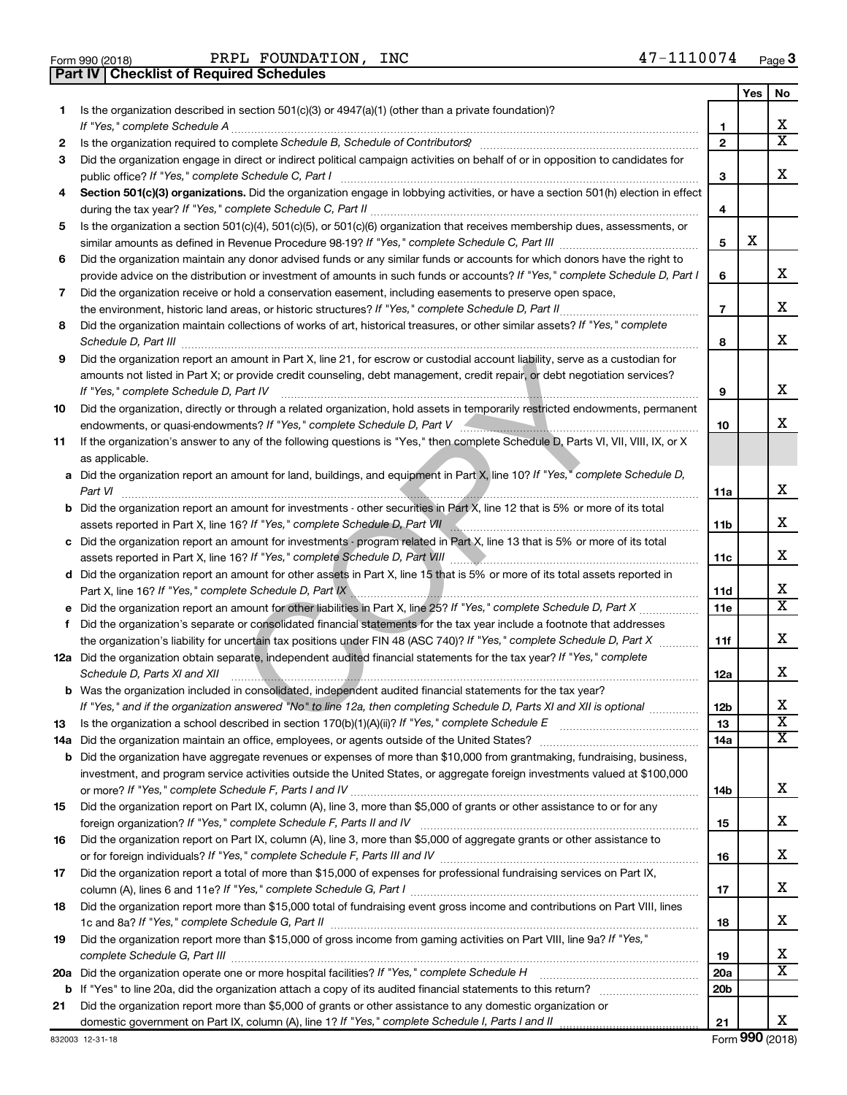PRPL FOUNDATION, INC

**Part IV Checklist of Required Schedules**

|     |                                                                                                                                                                                                                                                       |                | Yes | No                      |
|-----|-------------------------------------------------------------------------------------------------------------------------------------------------------------------------------------------------------------------------------------------------------|----------------|-----|-------------------------|
| 1.  | Is the organization described in section $501(c)(3)$ or $4947(a)(1)$ (other than a private foundation)?                                                                                                                                               |                |     |                         |
|     |                                                                                                                                                                                                                                                       | 1              |     | x                       |
| 2   |                                                                                                                                                                                                                                                       | $\mathbf{2}$   |     | $\overline{\mathtt{x}}$ |
| 3   | Did the organization engage in direct or indirect political campaign activities on behalf of or in opposition to candidates for                                                                                                                       |                |     |                         |
|     | public office? If "Yes," complete Schedule C, Part I                                                                                                                                                                                                  | 3              |     | x.                      |
| 4   | Section 501(c)(3) organizations. Did the organization engage in lobbying activities, or have a section 501(h) election in effect                                                                                                                      |                |     |                         |
|     |                                                                                                                                                                                                                                                       | 4              |     |                         |
| 5   | Is the organization a section 501(c)(4), 501(c)(5), or 501(c)(6) organization that receives membership dues, assessments, or                                                                                                                          |                |     |                         |
|     |                                                                                                                                                                                                                                                       | 5              | х   |                         |
| 6   | Did the organization maintain any donor advised funds or any similar funds or accounts for which donors have the right to                                                                                                                             |                |     |                         |
|     | provide advice on the distribution or investment of amounts in such funds or accounts? If "Yes," complete Schedule D, Part I                                                                                                                          | 6              |     | x                       |
| 7   | Did the organization receive or hold a conservation easement, including easements to preserve open space,                                                                                                                                             |                |     |                         |
|     |                                                                                                                                                                                                                                                       | $\overline{7}$ |     | x                       |
| 8   | Did the organization maintain collections of works of art, historical treasures, or other similar assets? If "Yes," complete                                                                                                                          |                |     |                         |
|     | Schedule D, Part III                                                                                                                                                                                                                                  | 8              |     | x                       |
| 9   | Did the organization report an amount in Part X, line 21, for escrow or custodial account liability, serve as a custodian for                                                                                                                         |                |     |                         |
|     | amounts not listed in Part X; or provide credit counseling, debt management, credit repair, or debt negotiation services?                                                                                                                             |                |     |                         |
|     | If "Yes," complete Schedule D, Part IV                                                                                                                                                                                                                | 9              |     | x                       |
| 10  | Did the organization, directly or through a related organization, hold assets in temporarily restricted endowments, permanent                                                                                                                         |                |     |                         |
|     |                                                                                                                                                                                                                                                       | 10             |     | X.                      |
| 11  | If the organization's answer to any of the following questions is "Yes," then complete Schedule D, Parts VI, VII, VIII, IX, or X                                                                                                                      |                |     |                         |
|     | as applicable.                                                                                                                                                                                                                                        |                |     |                         |
|     | a Did the organization report an amount for land, buildings, and equipment in Part X, line 10? If "Yes," complete Schedule D,                                                                                                                         |                |     |                         |
|     | Part VI                                                                                                                                                                                                                                               | 11a            |     | x                       |
|     | <b>b</b> Did the organization report an amount for investments - other securities in Part X, line 12 that is 5% or more of its total                                                                                                                  |                |     |                         |
|     |                                                                                                                                                                                                                                                       | 11b            |     | х                       |
|     | c Did the organization report an amount for investments - program related in Part X, line 13 that is 5% or more of its total                                                                                                                          |                |     |                         |
|     |                                                                                                                                                                                                                                                       | 11c            |     | x                       |
|     | d Did the organization report an amount for other assets in Part X, line 15 that is 5% or more of its total assets reported in                                                                                                                        |                |     |                         |
|     | Part X, line 16? If "Yes," complete Schedule D, Part IX \\minimum \minimum \minimum \minimum \minimum \minimum                                                                                                                                        | 11d            |     | x                       |
|     |                                                                                                                                                                                                                                                       | <b>11e</b>     |     | $\overline{\mathtt{x}}$ |
| f   | Did the organization's separate or consolidated financial statements for the tax year include a footnote that addresses                                                                                                                               |                |     |                         |
|     | the organization's liability for uncertain tax positions under FIN 48 (ASC 740)? If "Yes," complete Schedule D, Part X                                                                                                                                | 11f            |     | x                       |
|     | 12a Did the organization obtain separate, independent audited financial statements for the tax year? If "Yes," complete                                                                                                                               |                |     |                         |
|     | Schedule D, Parts XI and XII                                                                                                                                                                                                                          | 12a            |     | x                       |
|     | b Was the organization included in consolidated, independent audited financial statements for the tax year?                                                                                                                                           |                |     | Χ                       |
|     | If "Yes," and if the organization answered "No" to line 12a, then completing Schedule D, Parts XI and XII is optional                                                                                                                                 | 12b            |     | $\overline{\mathtt{x}}$ |
| 13  | Is the organization a school described in section 170(b)(1)(A)(ii)? If "Yes," complete Schedule E                                                                                                                                                     | 13             |     | $\overline{\mathtt{x}}$ |
| 14a |                                                                                                                                                                                                                                                       | 14a            |     |                         |
| b   | Did the organization have aggregate revenues or expenses of more than \$10,000 from grantmaking, fundraising, business,<br>investment, and program service activities outside the United States, or aggregate foreign investments valued at \$100,000 |                |     |                         |
|     | or more? If "Yes," complete Schedule F, Parts I and IV                                                                                                                                                                                                | 14b            |     | x                       |
| 15  | Did the organization report on Part IX, column (A), line 3, more than \$5,000 of grants or other assistance to or for any                                                                                                                             |                |     |                         |
|     | foreign organization? If "Yes," complete Schedule F, Parts II and IV                                                                                                                                                                                  | 15             |     | x                       |
| 16  | Did the organization report on Part IX, column (A), line 3, more than \$5,000 of aggregate grants or other assistance to                                                                                                                              |                |     |                         |
|     | or for foreign individuals? If "Yes," complete Schedule F, Parts III and IV [11] mannon and intermediate to the                                                                                                                                       | 16             |     | x                       |
| 17  | Did the organization report a total of more than \$15,000 of expenses for professional fundraising services on Part IX,                                                                                                                               |                |     |                         |
|     |                                                                                                                                                                                                                                                       | 17             |     | x                       |
| 18  | Did the organization report more than \$15,000 total of fundraising event gross income and contributions on Part VIII, lines                                                                                                                          |                |     |                         |
|     |                                                                                                                                                                                                                                                       | 18             |     | x                       |
| 19  | Did the organization report more than \$15,000 of gross income from gaming activities on Part VIII, line 9a? If "Yes,"                                                                                                                                |                |     |                         |
|     |                                                                                                                                                                                                                                                       | 19             |     | x                       |
| 20a |                                                                                                                                                                                                                                                       | 20a            |     | $\overline{\mathtt{x}}$ |
|     |                                                                                                                                                                                                                                                       | 20b            |     |                         |
| 21  | Did the organization report more than \$5,000 of grants or other assistance to any domestic organization or                                                                                                                                           |                |     |                         |
|     |                                                                                                                                                                                                                                                       | 21             |     | х                       |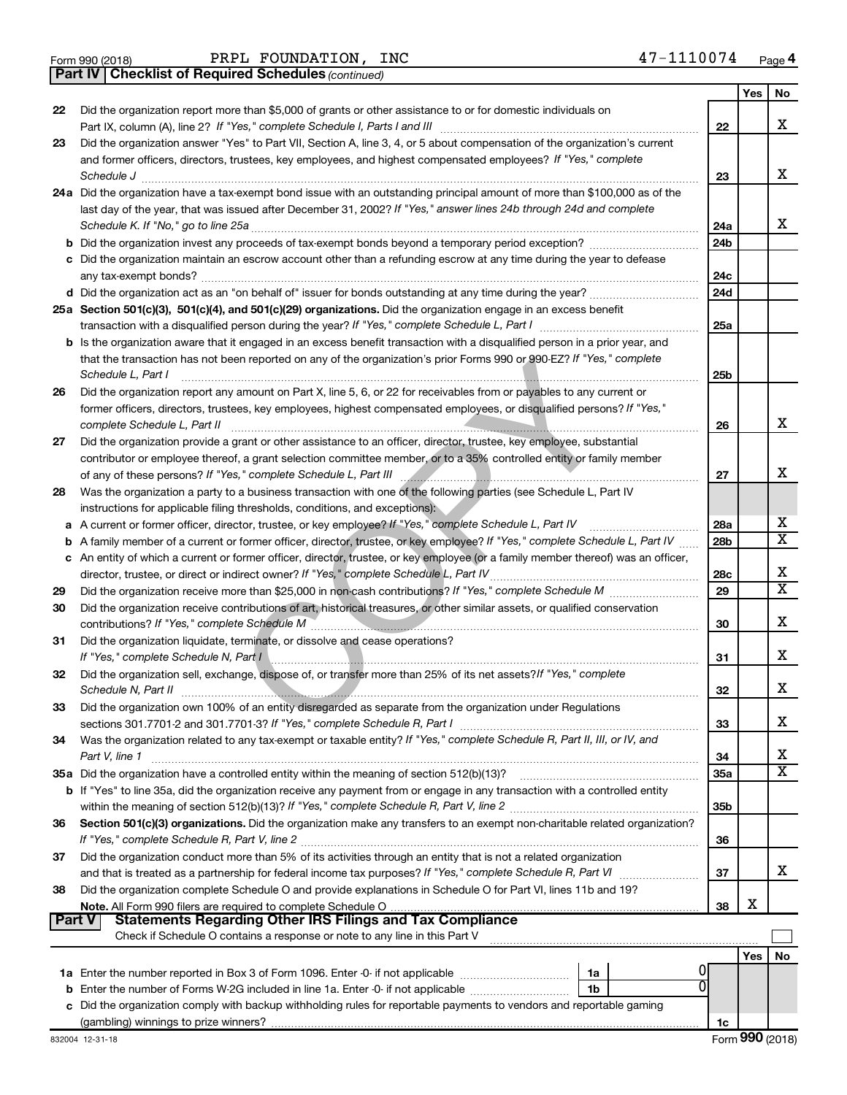|  | Form 990 (2018) |  |
|--|-----------------|--|
|  |                 |  |

*(continued)* **Part IV Checklist of Required Schedules**

|        |                                                                                                                                                                                                                                       |                        | Yes | No                      |
|--------|---------------------------------------------------------------------------------------------------------------------------------------------------------------------------------------------------------------------------------------|------------------------|-----|-------------------------|
| 22     | Did the organization report more than \$5,000 of grants or other assistance to or for domestic individuals on                                                                                                                         |                        |     |                         |
|        | Part IX, column (A), line 2? If "Yes," complete Schedule I, Parts I and III                                                                                                                                                           | 22                     |     | x                       |
| 23     | Did the organization answer "Yes" to Part VII, Section A, line 3, 4, or 5 about compensation of the organization's current                                                                                                            |                        |     |                         |
|        | and former officers, directors, trustees, key employees, and highest compensated employees? If "Yes," complete                                                                                                                        |                        |     |                         |
|        | Schedule J                                                                                                                                                                                                                            | 23                     |     | x                       |
|        | 24a Did the organization have a tax-exempt bond issue with an outstanding principal amount of more than \$100,000 as of the                                                                                                           |                        |     |                         |
|        | last day of the year, that was issued after December 31, 2002? If "Yes," answer lines 24b through 24d and complete                                                                                                                    |                        |     |                         |
|        | Schedule K. If "No," go to line 25a                                                                                                                                                                                                   | 24a                    |     | x                       |
|        |                                                                                                                                                                                                                                       | 24 <sub>b</sub>        |     |                         |
|        | c Did the organization maintain an escrow account other than a refunding escrow at any time during the year to defease                                                                                                                |                        |     |                         |
|        | any tax-exempt bonds?                                                                                                                                                                                                                 | 24c                    |     |                         |
|        |                                                                                                                                                                                                                                       | 24d                    |     |                         |
|        | 25a Section 501(c)(3), 501(c)(4), and 501(c)(29) organizations. Did the organization engage in an excess benefit                                                                                                                      |                        |     |                         |
|        |                                                                                                                                                                                                                                       | 25a                    |     |                         |
|        | b Is the organization aware that it engaged in an excess benefit transaction with a disqualified person in a prior year, and                                                                                                          |                        |     |                         |
|        | that the transaction has not been reported on any of the organization's prior Forms 990 or 990-EZ? If "Yes," complete                                                                                                                 |                        |     |                         |
|        | Schedule L, Part I                                                                                                                                                                                                                    | 25b                    |     |                         |
| 26     | Did the organization report any amount on Part X, line 5, 6, or 22 for receivables from or payables to any current or                                                                                                                 |                        |     |                         |
|        | former officers, directors, trustees, key employees, highest compensated employees, or disqualified persons? If "Yes,"                                                                                                                |                        |     | x                       |
|        | complete Schedule L, Part II                                                                                                                                                                                                          | 26                     |     |                         |
| 27     | Did the organization provide a grant or other assistance to an officer, director, trustee, key employee, substantial                                                                                                                  |                        |     |                         |
|        | contributor or employee thereof, a grant selection committee member, or to a 35% controlled entity or family member                                                                                                                   |                        |     | х                       |
|        | of any of these persons? If "Yes," complete Schedule L, Part III                                                                                                                                                                      | 27                     |     |                         |
| 28     | Was the organization a party to a business transaction with one of the following parties (see Schedule L, Part IV                                                                                                                     |                        |     |                         |
|        | instructions for applicable filing thresholds, conditions, and exceptions):                                                                                                                                                           |                        |     | х                       |
| a      | A current or former officer, director, trustee, or key employee? If "Yes," complete Schedule L, Part IV<br>A family member of a current or former officer, director, trustee, or key employee? If "Yes," complete Schedule L, Part IV | 28a<br>28 <sub>b</sub> |     | $\overline{\mathtt{x}}$ |
| b      | c An entity of which a current or former officer, director, trustee, or key employee (or a family member thereof) was an officer,                                                                                                     |                        |     |                         |
|        | director, trustee, or direct or indirect owner? If "Yes," complete Schedule L, Part IV                                                                                                                                                | 28c                    |     | x                       |
| 29     |                                                                                                                                                                                                                                       | 29                     |     | $\overline{\mathtt{x}}$ |
| 30     | Did the organization receive contributions of art, historical treasures, or other similar assets, or qualified conservation                                                                                                           |                        |     |                         |
|        |                                                                                                                                                                                                                                       | 30                     |     | х                       |
| 31     | Did the organization liquidate, terminate, or dissolve and cease operations?                                                                                                                                                          |                        |     |                         |
|        | If "Yes." complete Schedule N, Part I                                                                                                                                                                                                 | 31                     |     | X                       |
| 32     | Did the organization sell, exchange, dispose of, or transfer more than 25% of its net assets? If "Yes," complete                                                                                                                      |                        |     |                         |
|        | Schedule N, Part II                                                                                                                                                                                                                   | 32                     |     | X                       |
| 33     | Did the organization own 100% of an entity disregarded as separate from the organization under Regulations                                                                                                                            |                        |     |                         |
|        |                                                                                                                                                                                                                                       | 33                     |     | x                       |
| 34     | Was the organization related to any tax-exempt or taxable entity? If "Yes," complete Schedule R, Part II, III, or IV, and                                                                                                             |                        |     |                         |
|        | Part V, line 1                                                                                                                                                                                                                        | 34                     |     | x                       |
|        | 35a Did the organization have a controlled entity within the meaning of section 512(b)(13)?                                                                                                                                           | 35a                    |     | $\overline{\mathtt{x}}$ |
|        | b If "Yes" to line 35a, did the organization receive any payment from or engage in any transaction with a controlled entity                                                                                                           |                        |     |                         |
|        |                                                                                                                                                                                                                                       | 35b                    |     |                         |
| 36     | Section 501(c)(3) organizations. Did the organization make any transfers to an exempt non-charitable related organization?                                                                                                            |                        |     |                         |
|        |                                                                                                                                                                                                                                       | 36                     |     |                         |
| 37     | Did the organization conduct more than 5% of its activities through an entity that is not a related organization                                                                                                                      |                        |     |                         |
|        | and that is treated as a partnership for federal income tax purposes? If "Yes," complete Schedule R, Part VI                                                                                                                          | 37                     |     | x                       |
| 38     | Did the organization complete Schedule O and provide explanations in Schedule O for Part VI, lines 11b and 19?                                                                                                                        |                        |     |                         |
|        |                                                                                                                                                                                                                                       | 38                     | X   |                         |
| Part V | <b>Statements Regarding Other IRS Filings and Tax Compliance</b>                                                                                                                                                                      |                        |     |                         |
|        | Check if Schedule O contains a response or note to any line in this Part V                                                                                                                                                            |                        |     |                         |
|        |                                                                                                                                                                                                                                       |                        | Yes | No                      |
|        | 1a                                                                                                                                                                                                                                    |                        |     |                         |
|        | 1b<br><b>b</b> Enter the number of Forms W-2G included in line 1a. Enter -0- if not applicable                                                                                                                                        |                        |     |                         |
|        | c Did the organization comply with backup withholding rules for reportable payments to vendors and reportable gaming                                                                                                                  |                        |     |                         |
|        |                                                                                                                                                                                                                                       | 1c                     |     |                         |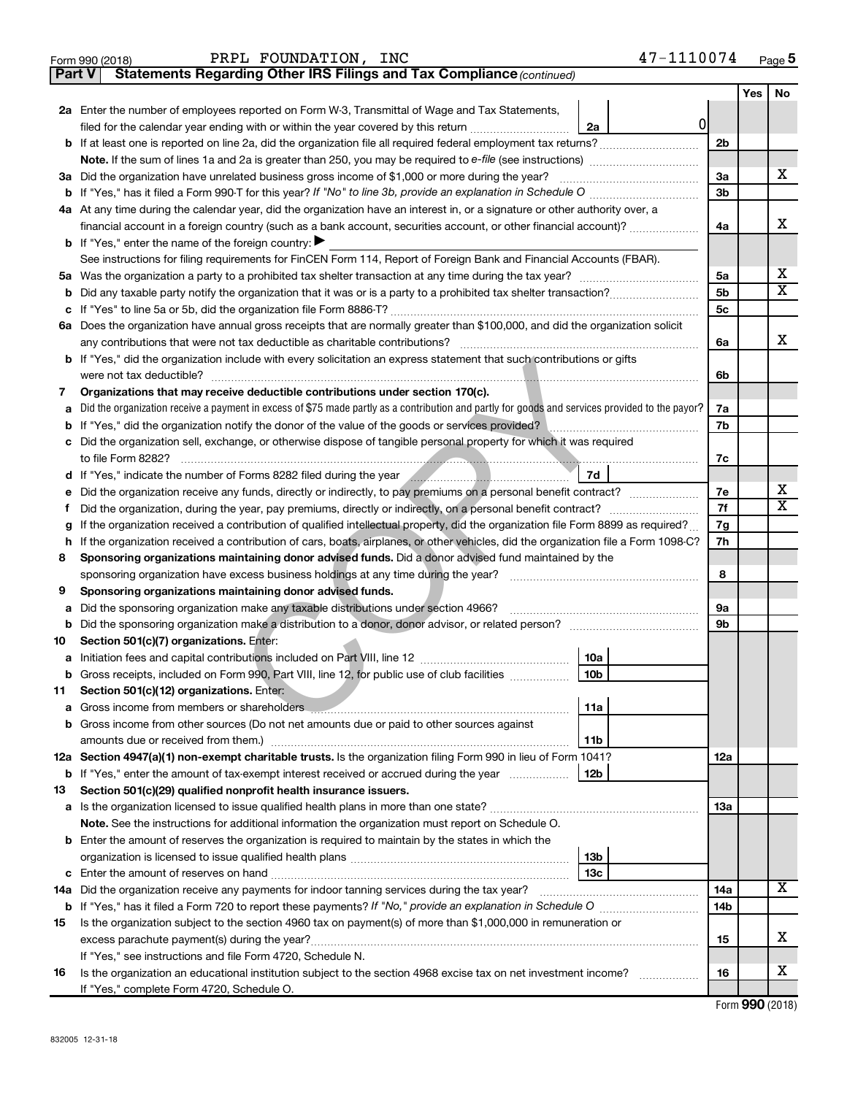|          | PRPL FOUNDATION, INC<br>Form 990 (2018)                                                                                                                            |                 | 47-1110074 |                |     | Page 5                     |
|----------|--------------------------------------------------------------------------------------------------------------------------------------------------------------------|-----------------|------------|----------------|-----|----------------------------|
| ∣ Part V | Statements Regarding Other IRS Filings and Tax Compliance (continued)                                                                                              |                 |            |                |     |                            |
|          |                                                                                                                                                                    |                 |            |                | Yes | No                         |
|          | 2a Enter the number of employees reported on Form W-3, Transmittal of Wage and Tax Statements,                                                                     |                 |            |                |     |                            |
|          | filed for the calendar year ending with or within the year covered by this return                                                                                  | 2a              | 0          |                |     |                            |
|          |                                                                                                                                                                    |                 |            | 2 <sub>b</sub> |     |                            |
|          |                                                                                                                                                                    |                 |            |                |     |                            |
|          | 3a Did the organization have unrelated business gross income of \$1,000 or more during the year?                                                                   |                 |            | 3a             |     | х                          |
|          | <b>b</b> If "Yes," has it filed a Form 990-T for this year? If "No" to line 3b, provide an explanation in Schedule O manumum                                       |                 |            | 3 <sub>b</sub> |     |                            |
|          | 4a At any time during the calendar year, did the organization have an interest in, or a signature or other authority over, a                                       |                 |            |                |     |                            |
|          | financial account in a foreign country (such as a bank account, securities account, or other financial account)?                                                   |                 |            | 4a             |     | х                          |
|          | <b>b</b> If "Yes," enter the name of the foreign country: $\blacktriangleright$                                                                                    |                 |            |                |     |                            |
|          | See instructions for filing requirements for FinCEN Form 114, Report of Foreign Bank and Financial Accounts (FBAR).                                                |                 |            |                |     |                            |
|          |                                                                                                                                                                    |                 |            | 5a             |     | х                          |
| b        |                                                                                                                                                                    |                 |            | 5 <sub>b</sub> |     | x                          |
|          |                                                                                                                                                                    |                 |            | 5 <sub>c</sub> |     |                            |
|          | 6a Does the organization have annual gross receipts that are normally greater than \$100,000, and did the organization solicit                                     |                 |            |                |     |                            |
|          | any contributions that were not tax deductible as charitable contributions?                                                                                        |                 |            | 6a             |     | х                          |
|          | b If "Yes," did the organization include with every solicitation an express statement that such contributions or gifts                                             |                 |            |                |     |                            |
|          |                                                                                                                                                                    |                 |            | 6b             |     |                            |
| 7        | Organizations that may receive deductible contributions under section 170(c).                                                                                      |                 |            |                |     |                            |
| а        | Did the organization receive a payment in excess of \$75 made partly as a contribution and partly for goods and services provided to the payor?                    |                 |            | 7a             |     |                            |
| b        | If "Yes," did the organization notify the donor of the value of the goods or services provided?                                                                    |                 |            | 7b             |     |                            |
| c        | Did the organization sell, exchange, or otherwise dispose of tangible personal property for which it was required                                                  |                 |            |                |     |                            |
|          | to file Form 8282?                                                                                                                                                 |                 |            | 7c             |     |                            |
|          |                                                                                                                                                                    | 7d              |            |                |     |                            |
| е        |                                                                                                                                                                    |                 |            | 7e             |     | х<br>$\overline{\text{X}}$ |
| Ť        |                                                                                                                                                                    |                 |            | 7f             |     |                            |
| g        | If the organization received a contribution of qualified intellectual property, did the organization file Form 8899 as required?                                   |                 |            | 7g             |     |                            |
|          | h If the organization received a contribution of cars, boats, airplanes, or other vehicles, did the organization file a Form 1098-C?                               |                 |            | 7h             |     |                            |
| 8        | Sponsoring organizations maintaining donor advised funds. Did a donor advised fund maintained by the                                                               |                 |            |                |     |                            |
|          | sponsoring organization have excess business holdings at any time during the year?                                                                                 |                 |            | 8              |     |                            |
| 9        | Sponsoring organizations maintaining donor advised funds.                                                                                                          |                 |            |                |     |                            |
| а        | Did the sponsoring organization make any taxable distributions under section 4966?                                                                                 |                 |            | <b>9a</b>      |     |                            |
| b        |                                                                                                                                                                    |                 |            | 9b             |     |                            |
| 10       | Section 501(c)(7) organizations. Enter:                                                                                                                            |                 |            |                |     |                            |
|          |                                                                                                                                                                    | 10a             |            |                |     |                            |
| b        | Gross receipts, included on Form 990, Part VIII, line 12, for public use of club facilities                                                                        | 10b             |            |                |     |                            |
| 11       | Section 501(c)(12) organizations. Enter:                                                                                                                           | 11a             |            |                |     |                            |
| а        |                                                                                                                                                                    |                 |            |                |     |                            |
| b        | Gross income from other sources (Do not net amounts due or paid to other sources against                                                                           |                 |            |                |     |                            |
|          | 12a Section 4947(a)(1) non-exempt charitable trusts. Is the organization filing Form 990 in lieu of Form 1041?                                                     | 11b             |            | 12a            |     |                            |
|          |                                                                                                                                                                    | 12b             |            |                |     |                            |
| 13       | <b>b</b> If "Yes," enter the amount of tax-exempt interest received or accrued during the year<br>Section 501(c)(29) qualified nonprofit health insurance issuers. |                 |            |                |     |                            |
|          |                                                                                                                                                                    |                 |            | 13a            |     |                            |
|          | Note. See the instructions for additional information the organization must report on Schedule O.                                                                  |                 |            |                |     |                            |
|          | <b>b</b> Enter the amount of reserves the organization is required to maintain by the states in which the                                                          |                 |            |                |     |                            |
|          |                                                                                                                                                                    | 13 <sub>b</sub> |            |                |     |                            |
|          |                                                                                                                                                                    | 13c             |            |                |     |                            |
|          | 14a Did the organization receive any payments for indoor tanning services during the tax year?                                                                     |                 |            | 14a            |     | X                          |
|          |                                                                                                                                                                    |                 |            | 14b            |     |                            |
| 15       | Is the organization subject to the section 4960 tax on payment(s) of more than \$1,000,000 in remuneration or                                                      |                 |            |                |     |                            |
|          |                                                                                                                                                                    |                 |            | 15             |     | х                          |
|          | If "Yes," see instructions and file Form 4720, Schedule N.                                                                                                         |                 |            |                |     |                            |
| 16       | Is the organization an educational institution subject to the section 4968 excise tax on net investment income?                                                    |                 |            | 16             |     | х                          |
|          | If "Yes," complete Form 4720, Schedule O.                                                                                                                          |                 |            |                |     |                            |
|          |                                                                                                                                                                    |                 |            |                |     |                            |

Form (2018) **990**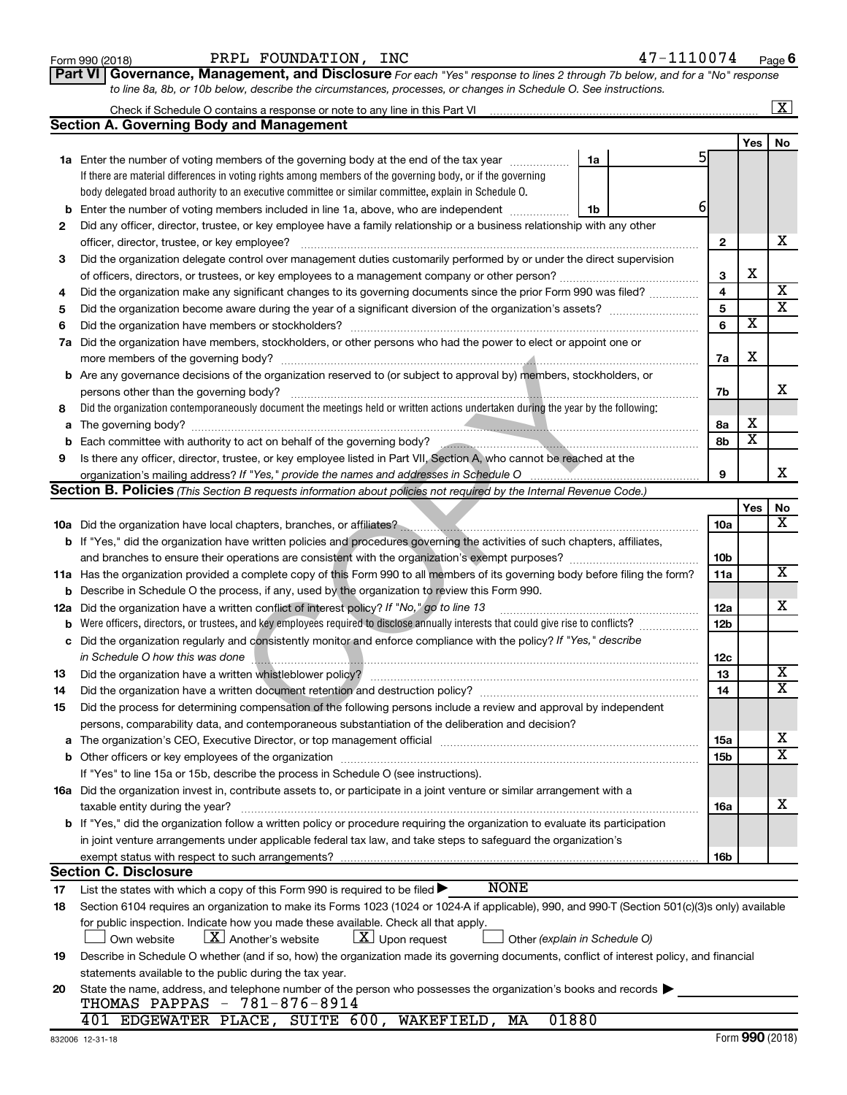| Form 990 (2018) |  |
|-----------------|--|
|-----------------|--|

**Part VI** Governance, Management, and Disclosure For each "Yes" response to lines 2 through 7b below, and for a "No" response *to line 8a, 8b, or 10b below, describe the circumstances, processes, or changes in Schedule O. See instructions.*

|     |                                                                                                                                                                                                                               |                 |                         | $\mathbf{X}$            |
|-----|-------------------------------------------------------------------------------------------------------------------------------------------------------------------------------------------------------------------------------|-----------------|-------------------------|-------------------------|
|     | Section A. Governing Body and Management                                                                                                                                                                                      |                 |                         |                         |
|     |                                                                                                                                                                                                                               |                 | Yes                     | No                      |
|     | <b>1a</b> Enter the number of voting members of the governing body at the end of the tax year<br>1a                                                                                                                           | 5               |                         |                         |
|     | If there are material differences in voting rights among members of the governing body, or if the governing                                                                                                                   |                 |                         |                         |
|     | body delegated broad authority to an executive committee or similar committee, explain in Schedule O.                                                                                                                         |                 |                         |                         |
| b   | Enter the number of voting members included in line 1a, above, who are independent<br>1b                                                                                                                                      | 6               |                         |                         |
| 2   | Did any officer, director, trustee, or key employee have a family relationship or a business relationship with any other                                                                                                      |                 |                         |                         |
|     | officer, director, trustee, or key employee?                                                                                                                                                                                  | 2               |                         | х                       |
| 3   | Did the organization delegate control over management duties customarily performed by or under the direct supervision                                                                                                         |                 |                         |                         |
|     |                                                                                                                                                                                                                               | 3               | х                       |                         |
| 4   | Did the organization make any significant changes to its governing documents since the prior Form 990 was filed?                                                                                                              | 4               |                         | X                       |
| 5   |                                                                                                                                                                                                                               | 5               |                         | $\overline{\textbf{x}}$ |
| 6   | Did the organization have members or stockholders?                                                                                                                                                                            | 6               | $\overline{\textbf{x}}$ |                         |
| 7a  | Did the organization have members, stockholders, or other persons who had the power to elect or appoint one or                                                                                                                |                 |                         |                         |
|     |                                                                                                                                                                                                                               | 7a              | X                       |                         |
|     | <b>b</b> Are any governance decisions of the organization reserved to (or subject to approval by) members, stockholders, or                                                                                                   |                 |                         |                         |
|     | persons other than the governing body?                                                                                                                                                                                        | 7b              |                         | x                       |
| 8   | Did the organization contemporaneously document the meetings held or written actions undertaken during the year by the following:                                                                                             |                 |                         |                         |
| a   |                                                                                                                                                                                                                               | 8а              | х                       |                         |
| b   | Each committee with authority to act on behalf of the governing body?                                                                                                                                                         | 8b              | $\overline{\mathbf{x}}$ |                         |
| 9   | Is there any officer, director, trustee, or key employee listed in Part VII, Section A, who cannot be reached at the                                                                                                          |                 |                         |                         |
|     |                                                                                                                                                                                                                               | 9               |                         | x                       |
|     | <b>Section B. Policies</b> (This Section B requests information about policies not required by the Internal Revenue Code.)                                                                                                    |                 |                         |                         |
|     |                                                                                                                                                                                                                               |                 | Yes                     | No                      |
|     | 10a Did the organization have local chapters, branches, or affiliates?                                                                                                                                                        | 10a             |                         | x                       |
|     | <b>b</b> If "Yes," did the organization have written policies and procedures governing the activities of such chapters, affiliates,                                                                                           |                 |                         |                         |
|     | and branches to ensure their operations are consistent with the organization's exempt purposes? www.www.www.www.                                                                                                              | 10 <sub>b</sub> |                         |                         |
|     | 11a Has the organization provided a complete copy of this Form 990 to all members of its governing body before filing the form?                                                                                               | 11a             |                         | $\overline{\text{X}}$   |
| b   | Describe in Schedule O the process, if any, used by the organization to review this Form 990.                                                                                                                                 |                 |                         |                         |
| 12a | Did the organization have a written conflict of interest policy? If "No," go to line 13                                                                                                                                       | 12a             |                         | x                       |
| b   | Were officers, directors, or trustees, and key employees required to disclose annually interests that could give rise to conflicts?                                                                                           | 12 <sub>b</sub> |                         |                         |
| с   | Did the organization regularly and consistently monitor and enforce compliance with the policy? If "Yes," describe                                                                                                            |                 |                         |                         |
|     | in Schedule O how this was done                                                                                                                                                                                               | 12c             |                         |                         |
| 13  | Did the organization have a written whistleblower policy?                                                                                                                                                                     | 13              |                         | x                       |
| 14  |                                                                                                                                                                                                                               | 14              |                         | $\overline{\text{X}}$   |
| 15  | Did the process for determining compensation of the following persons include a review and approval by independent                                                                                                            |                 |                         |                         |
|     | persons, comparability data, and contemporaneous substantiation of the deliberation and decision?                                                                                                                             |                 |                         |                         |
| а   | The organization's CEO, Executive Director, or top management official manufactured content content of the organization's CEO, executive Director, or top management official manufactured content of the original content of | 15a             |                         | x                       |
|     |                                                                                                                                                                                                                               | 15b             |                         | $\overline{\text{X}}$   |
|     | If "Yes" to line 15a or 15b, describe the process in Schedule O (see instructions).                                                                                                                                           |                 |                         |                         |
|     | 16a Did the organization invest in, contribute assets to, or participate in a joint venture or similar arrangement with a                                                                                                     |                 |                         |                         |
|     | taxable entity during the year?                                                                                                                                                                                               | 16a             |                         | х                       |
|     | b If "Yes," did the organization follow a written policy or procedure requiring the organization to evaluate its participation                                                                                                |                 |                         |                         |
|     | in joint venture arrangements under applicable federal tax law, and take steps to safequard the organization's                                                                                                                |                 |                         |                         |
|     | exempt status with respect to such arrangements?                                                                                                                                                                              | 16b             |                         |                         |
|     | <b>Section C. Disclosure</b>                                                                                                                                                                                                  |                 |                         |                         |
| 17  | <b>NONE</b><br>List the states with which a copy of this Form 990 is required to be filed >                                                                                                                                   |                 |                         |                         |
| 18  | Section 6104 requires an organization to make its Forms 1023 (1024 or 1024 A if applicable), 990, and 990-T (Section 501(c)(3)s only) available                                                                               |                 |                         |                         |
|     | for public inspection. Indicate how you made these available. Check all that apply.                                                                                                                                           |                 |                         |                         |
|     | $\lfloor X \rfloor$ Another's website<br>$\lfloor x \rfloor$ Upon request<br>Own website<br>Other (explain in Schedule O)                                                                                                     |                 |                         |                         |
| 19  | Describe in Schedule O whether (and if so, how) the organization made its governing documents, conflict of interest policy, and financial                                                                                     |                 |                         |                         |
|     | statements available to the public during the tax year.                                                                                                                                                                       |                 |                         |                         |
| 20  | State the name, address, and telephone number of the person who possesses the organization's books and records<br>THOMAS PAPPAS - 781-876-8914                                                                                |                 |                         |                         |
|     | 01880<br>401 EDGEWATER PLACE, SUITE 600, WAKEFIELD, MA                                                                                                                                                                        |                 |                         |                         |
|     |                                                                                                                                                                                                                               |                 |                         |                         |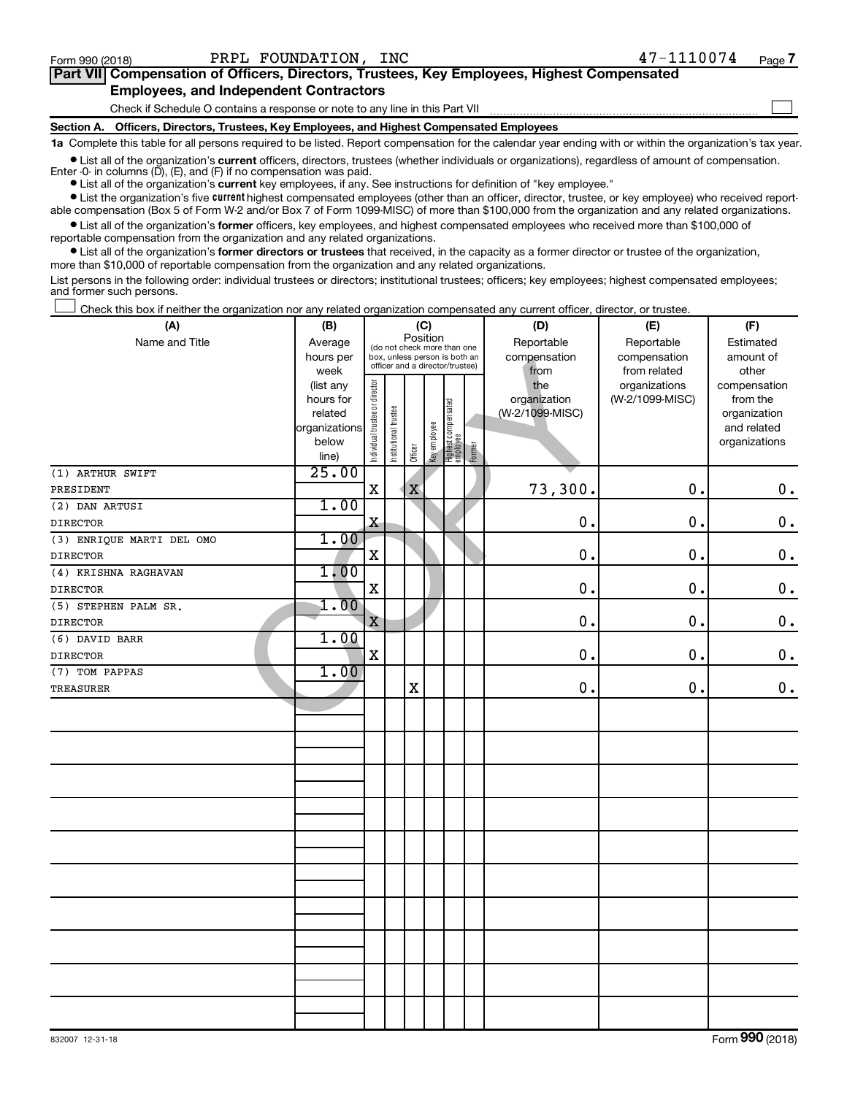$\Box$ 

| Part VII Compensation of Officers, Directors, Trustees, Key Employees, Highest Compensated |  |  |
|--------------------------------------------------------------------------------------------|--|--|
| <b>Employees, and Independent Contractors</b>                                              |  |  |

Check if Schedule O contains a response or note to any line in this Part VII

**Section A. Officers, Directors, Trustees, Key Employees, and Highest Compensated Employees**

**1a**  Complete this table for all persons required to be listed. Report compensation for the calendar year ending with or within the organization's tax year.

**•** List all of the organization's current officers, directors, trustees (whether individuals or organizations), regardless of amount of compensation. Enter  $-0$ - in columns  $(D)$ ,  $(E)$ , and  $(F)$  if no compensation was paid.

**•** List all of the organization's **current** key employees, if any. See instructions for definition of "key employee."

**•** List the organization's five current highest compensated employees (other than an officer, director, trustee, or key employee) who received reportable compensation (Box 5 of Form W-2 and/or Box 7 of Form 1099-MISC) of more than \$100,000 from the organization and any related organizations.

**•** List all of the organization's former officers, key employees, and highest compensated employees who received more than \$100,000 of reportable compensation from the organization and any related organizations.

**•** List all of the organization's former directors or trustees that received, in the capacity as a former director or trustee of the organization, more than \$10,000 of reportable compensation from the organization and any related organizations.

List persons in the following order: individual trustees or directors; institutional trustees; officers; key employees; highest compensated employees; and former such persons.

Check this box if neither the organization nor any related organization compensated any current officer, director, or trustee.  $\Box$ 

| (A)                       | (B)           | (C)                                     |                       |                                 |              |                                 |            | (D)             | (E)             | (F)           |
|---------------------------|---------------|-----------------------------------------|-----------------------|---------------------------------|--------------|---------------------------------|------------|-----------------|-----------------|---------------|
| Name and Title            | Average       | Position<br>(do not check more than one |                       |                                 |              | Reportable                      | Reportable | Estimated       |                 |               |
|                           | hours per     |                                         |                       | box, unless person is both an   |              |                                 |            | compensation    | compensation    | amount of     |
|                           | week          |                                         |                       | officer and a director/trustee) |              |                                 |            | from            | from related    | other         |
|                           | (list any     |                                         |                       |                                 |              |                                 |            | the             | organizations   | compensation  |
|                           | hours for     |                                         |                       |                                 |              |                                 |            | organization    | (W-2/1099-MISC) | from the      |
|                           | related       |                                         |                       |                                 |              |                                 |            | (W-2/1099-MISC) |                 | organization  |
|                           | organizations |                                         |                       |                                 |              |                                 |            |                 |                 | and related   |
|                           | below         | Individual trustee or director          | Institutional trustee | Officer                         | Key employee | Highest compensated<br>employee | Former     |                 |                 | organizations |
|                           | line)         |                                         |                       |                                 |              |                                 |            |                 |                 |               |
| (1) ARTHUR SWIFT          | 25.00         |                                         |                       |                                 |              |                                 |            |                 |                 |               |
| PRESIDENT                 |               | $\mathbf X$                             |                       | $\mathbf X$                     |              |                                 |            | 73,300.         | 0.              | $0$ .         |
| (2) DAN ARTUSI            | 1.00          |                                         |                       |                                 |              |                                 |            |                 |                 |               |
| <b>DIRECTOR</b>           |               | $\mathbf x$                             |                       |                                 |              |                                 |            | 0.              | 0.              | $0$ .         |
| (3) ENRIQUE MARTI DEL OMO | 1.00          |                                         |                       |                                 |              |                                 |            |                 |                 |               |
| <b>DIRECTOR</b>           |               | $\mathbf X$                             |                       |                                 |              |                                 |            | 0.              | $\mathbf 0$ .   | $\mathbf 0$ . |
| (4) KRISHNA RAGHAVAN      | 1.00          |                                         |                       |                                 |              |                                 |            |                 |                 |               |
| <b>DIRECTOR</b>           |               | $\mathbf X$                             |                       |                                 |              |                                 |            | $\mathbf 0$     | 0.              | $\mathbf 0$ . |
| (5) STEPHEN PALM SR.      | 1.00          |                                         |                       |                                 |              |                                 |            |                 |                 |               |
| <b>DIRECTOR</b>           |               | $\mathbf X$                             |                       |                                 |              |                                 |            | $\mathbf 0$ .   | 0.              | $\mathbf 0$ . |
| (6) DAVID BARR            | 1.00          |                                         |                       |                                 |              |                                 |            |                 |                 |               |
| <b>DIRECTOR</b>           |               | $\mathbf X$                             |                       |                                 |              |                                 |            | $\mathbf 0$     | 0.              | $\mathbf 0$ . |
| (7) TOM PAPPAS            | 1.00          |                                         |                       |                                 |              |                                 |            |                 |                 |               |
| <b>TREASURER</b>          |               |                                         |                       | $\mathbf X$                     |              |                                 |            | $\mathbf 0$     | 0.              | 0.            |
|                           |               |                                         |                       |                                 |              |                                 |            |                 |                 |               |
|                           |               |                                         |                       |                                 |              |                                 |            |                 |                 |               |
|                           |               |                                         |                       |                                 |              |                                 |            |                 |                 |               |
|                           |               |                                         |                       |                                 |              |                                 |            |                 |                 |               |
|                           |               |                                         |                       |                                 |              |                                 |            |                 |                 |               |
|                           |               |                                         |                       |                                 |              |                                 |            |                 |                 |               |
|                           |               |                                         |                       |                                 |              |                                 |            |                 |                 |               |
|                           |               |                                         |                       |                                 |              |                                 |            |                 |                 |               |
|                           |               |                                         |                       |                                 |              |                                 |            |                 |                 |               |
|                           |               |                                         |                       |                                 |              |                                 |            |                 |                 |               |
|                           |               |                                         |                       |                                 |              |                                 |            |                 |                 |               |
|                           |               |                                         |                       |                                 |              |                                 |            |                 |                 |               |
|                           |               |                                         |                       |                                 |              |                                 |            |                 |                 |               |
|                           |               |                                         |                       |                                 |              |                                 |            |                 |                 |               |
|                           |               |                                         |                       |                                 |              |                                 |            |                 |                 |               |
|                           |               |                                         |                       |                                 |              |                                 |            |                 |                 |               |
|                           |               |                                         |                       |                                 |              |                                 |            |                 |                 |               |
|                           |               |                                         |                       |                                 |              |                                 |            |                 |                 |               |
|                           |               |                                         |                       |                                 |              |                                 |            |                 |                 |               |
|                           |               |                                         |                       |                                 |              |                                 |            |                 |                 |               |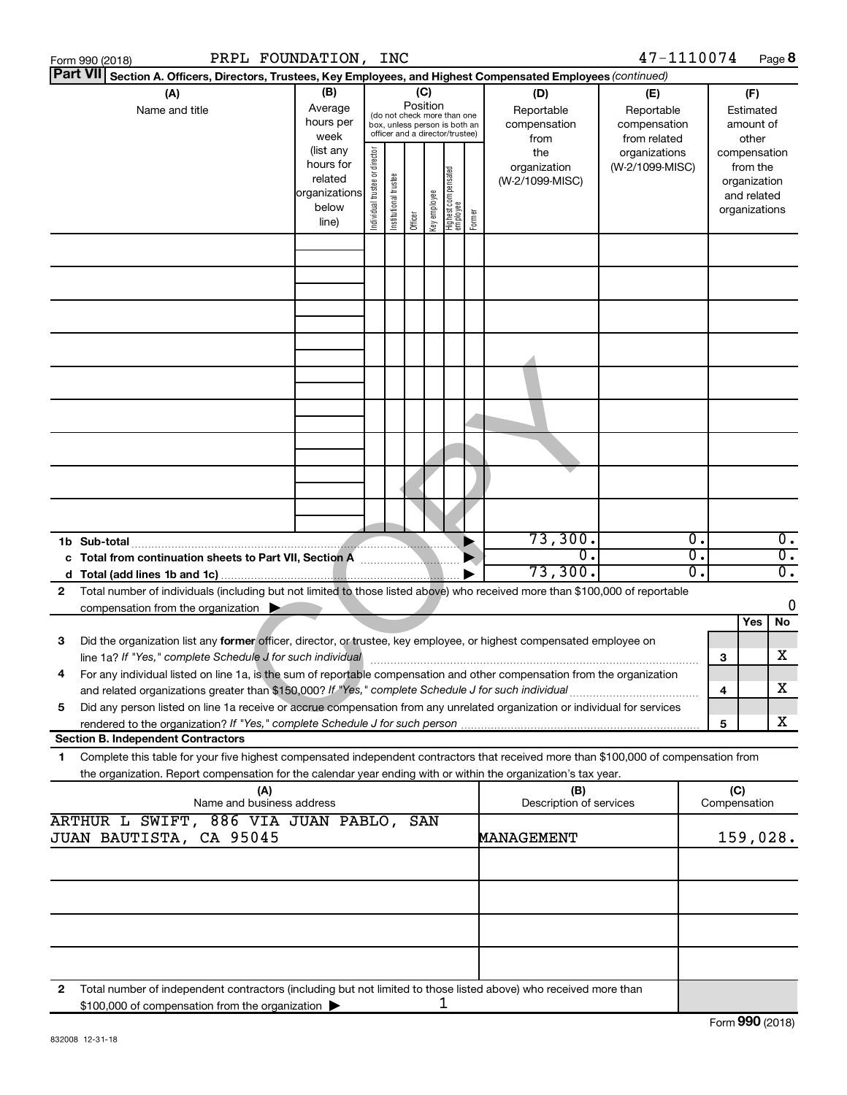|    | Form 990 (2018)                           |                                                                                                     | PRPL FOUNDATION,                                                     |                                                                                                                                                                 | INC                   |         |              |                                   |        |                                                                                                                                                                                                                                                        | 47-1110074                             |                        |                     | Page 8                                                                   |                                      |
|----|-------------------------------------------|-----------------------------------------------------------------------------------------------------|----------------------------------------------------------------------|-----------------------------------------------------------------------------------------------------------------------------------------------------------------|-----------------------|---------|--------------|-----------------------------------|--------|--------------------------------------------------------------------------------------------------------------------------------------------------------------------------------------------------------------------------------------------------------|----------------------------------------|------------------------|---------------------|--------------------------------------------------------------------------|--------------------------------------|
|    | <b>Part VII</b>                           |                                                                                                     |                                                                      |                                                                                                                                                                 |                       |         |              |                                   |        | Section A. Officers, Directors, Trustees, Key Employees, and Highest Compensated Employees (continued)                                                                                                                                                 |                                        |                        |                     |                                                                          |                                      |
|    |                                           | (A)<br>Name and title                                                                               | (B)<br>Average<br>hours per<br>week                                  | (C)<br>(D)<br>Position<br>Reportable<br>(do not check more than one<br>compensation<br>box, unless person is both an<br>officer and a director/trustee)<br>from |                       |         |              |                                   |        | (E)<br>Reportable<br>compensation<br>from related                                                                                                                                                                                                      | (F)<br>Estimated<br>amount of<br>other |                        |                     |                                                                          |                                      |
|    |                                           |                                                                                                     | (list any<br>hours for<br>related<br>organizations<br>below<br>line) | ndividual trustee or director                                                                                                                                   | Institutional trustee | Officer | Key employee | Highest compensated<br>  employee | Former | the<br>organization<br>(W-2/1099-MISC)                                                                                                                                                                                                                 | organizations<br>(W-2/1099-MISC)       |                        |                     | compensation<br>from the<br>organization<br>and related<br>organizations |                                      |
|    |                                           |                                                                                                     |                                                                      |                                                                                                                                                                 |                       |         |              |                                   |        |                                                                                                                                                                                                                                                        |                                        |                        |                     |                                                                          |                                      |
|    |                                           |                                                                                                     |                                                                      |                                                                                                                                                                 |                       |         |              |                                   |        |                                                                                                                                                                                                                                                        |                                        |                        |                     |                                                                          |                                      |
|    |                                           |                                                                                                     |                                                                      |                                                                                                                                                                 |                       |         |              |                                   |        |                                                                                                                                                                                                                                                        |                                        |                        |                     |                                                                          |                                      |
|    |                                           |                                                                                                     |                                                                      |                                                                                                                                                                 |                       |         |              |                                   |        |                                                                                                                                                                                                                                                        |                                        |                        |                     |                                                                          |                                      |
|    |                                           |                                                                                                     |                                                                      |                                                                                                                                                                 |                       |         |              |                                   |        |                                                                                                                                                                                                                                                        |                                        |                        |                     |                                                                          |                                      |
|    |                                           |                                                                                                     |                                                                      |                                                                                                                                                                 |                       |         |              |                                   |        |                                                                                                                                                                                                                                                        |                                        |                        |                     |                                                                          |                                      |
|    |                                           |                                                                                                     |                                                                      |                                                                                                                                                                 |                       |         |              |                                   |        |                                                                                                                                                                                                                                                        |                                        |                        |                     |                                                                          |                                      |
|    | 1b Sub-total                              |                                                                                                     |                                                                      |                                                                                                                                                                 |                       |         |              |                                   |        | 73,300.                                                                                                                                                                                                                                                |                                        | σ.                     |                     |                                                                          | $\overline{0}$ .                     |
|    |                                           | c Total from continuation sheets to Part VII, Section A                                             |                                                                      |                                                                                                                                                                 |                       |         |              |                                   |        | σ.<br>73,300.                                                                                                                                                                                                                                          |                                        | σ.<br>$\overline{0}$ . |                     |                                                                          | $\overline{0}$ .<br>$\overline{0}$ . |
| 2  |                                           |                                                                                                     |                                                                      |                                                                                                                                                                 |                       |         |              |                                   |        | Total number of individuals (including but not limited to those listed above) who received more than \$100,000 of reportable                                                                                                                           |                                        |                        |                     |                                                                          |                                      |
|    |                                           | compensation from the organization $\blacktriangleright$                                            |                                                                      |                                                                                                                                                                 |                       |         |              |                                   |        |                                                                                                                                                                                                                                                        |                                        |                        |                     |                                                                          | 0                                    |
|    |                                           |                                                                                                     |                                                                      |                                                                                                                                                                 |                       |         |              |                                   |        |                                                                                                                                                                                                                                                        |                                        |                        |                     | Yes                                                                      | No                                   |
| 3  |                                           | line 1a? If "Yes," complete Schedule J for such individual                                          |                                                                      |                                                                                                                                                                 |                       |         |              |                                   |        | Did the organization list any former officer, director, or trustee, key employee, or highest compensated employee on                                                                                                                                   |                                        |                        | З                   |                                                                          | х                                    |
|    |                                           | and related organizations greater than \$150,000? If "Yes," complete Schedule J for such individual |                                                                      |                                                                                                                                                                 |                       |         |              |                                   |        | For any individual listed on line 1a, is the sum of reportable compensation and other compensation from the organization                                                                                                                               |                                        |                        | 4                   |                                                                          | x                                    |
| 5  |                                           |                                                                                                     |                                                                      |                                                                                                                                                                 |                       |         |              |                                   |        | Did any person listed on line 1a receive or accrue compensation from any unrelated organization or individual for services                                                                                                                             |                                        |                        | 5                   |                                                                          | x                                    |
|    | <b>Section B. Independent Contractors</b> |                                                                                                     |                                                                      |                                                                                                                                                                 |                       |         |              |                                   |        |                                                                                                                                                                                                                                                        |                                        |                        |                     |                                                                          |                                      |
| 1. |                                           |                                                                                                     |                                                                      |                                                                                                                                                                 |                       |         |              |                                   |        | Complete this table for your five highest compensated independent contractors that received more than \$100,000 of compensation from<br>the organization. Report compensation for the calendar year ending with or within the organization's tax year. |                                        |                        |                     |                                                                          |                                      |
|    |                                           | (A)<br>Name and business address<br>ARTHUR L SWIFT, 886 VIA JUAN PABLO,                             |                                                                      |                                                                                                                                                                 |                       | SAN     |              |                                   |        | (B)<br>Description of services                                                                                                                                                                                                                         |                                        |                        | (C)<br>Compensation |                                                                          |                                      |
|    |                                           | JUAN BAUTISTA, CA 95045                                                                             |                                                                      |                                                                                                                                                                 |                       |         |              |                                   |        | MANAGEMENT                                                                                                                                                                                                                                             |                                        |                        |                     | 159,028.                                                                 |                                      |
|    |                                           |                                                                                                     |                                                                      |                                                                                                                                                                 |                       |         |              |                                   |        |                                                                                                                                                                                                                                                        |                                        |                        |                     |                                                                          |                                      |
|    |                                           |                                                                                                     |                                                                      |                                                                                                                                                                 |                       |         |              |                                   |        |                                                                                                                                                                                                                                                        |                                        |                        |                     |                                                                          |                                      |
|    |                                           |                                                                                                     |                                                                      |                                                                                                                                                                 |                       |         |              |                                   |        |                                                                                                                                                                                                                                                        |                                        |                        |                     |                                                                          |                                      |
| 2  |                                           | \$100,000 of compensation from the organization                                                     |                                                                      |                                                                                                                                                                 |                       |         | ı            |                                   |        | Total number of independent contractors (including but not limited to those listed above) who received more than                                                                                                                                       |                                        |                        |                     |                                                                          |                                      |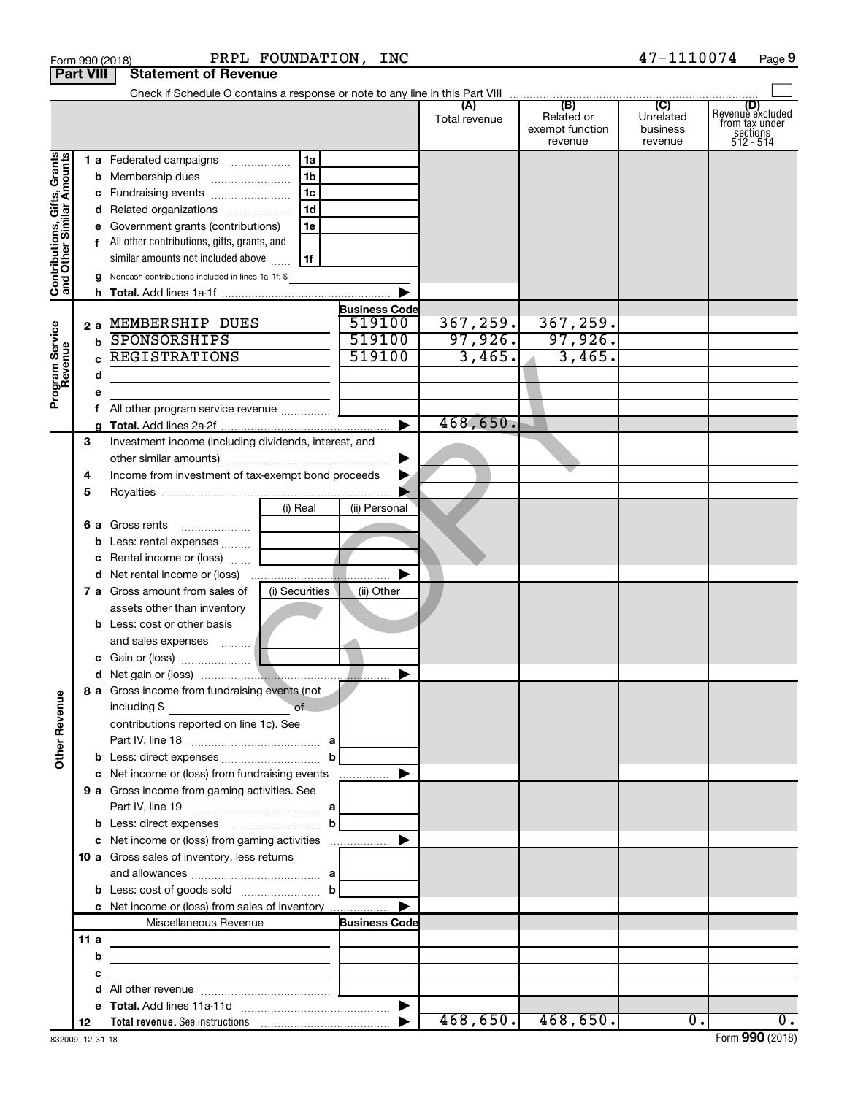|                                                                                         | <b>Part VIII</b>                             | <b>Statement of Revenue</b>                                                                                                                                                                                                                                                                                                                                                                                                                                                |                                                    |                                |                                          |                                  |                                                                      |
|-----------------------------------------------------------------------------------------|----------------------------------------------|----------------------------------------------------------------------------------------------------------------------------------------------------------------------------------------------------------------------------------------------------------------------------------------------------------------------------------------------------------------------------------------------------------------------------------------------------------------------------|----------------------------------------------------|--------------------------------|------------------------------------------|----------------------------------|----------------------------------------------------------------------|
|                                                                                         |                                              |                                                                                                                                                                                                                                                                                                                                                                                                                                                                            |                                                    |                                |                                          |                                  |                                                                      |
|                                                                                         |                                              |                                                                                                                                                                                                                                                                                                                                                                                                                                                                            |                                                    | Total revenue                  | Related or<br>exempt function<br>revenue | Unrelated<br>business<br>revenue | (D)<br>Revenue excluded<br>from tax under<br>sections<br>$512 - 514$ |
| Contributions, Gifts, Grants<br>and Other Similar Amounts<br>Program Service<br>Revenue | b<br>d<br>h.<br>2 a<br>b<br>C<br>d<br>е<br>f | 1 a Federated campaigns<br>1a<br>1 <sub>b</sub><br>Membership dues<br>1c<br>Fundraising events<br>1 <sub>d</sub><br>Related organizations<br>Government grants (contributions)<br>1e<br>f All other contributions, gifts, grants, and<br>similar amounts not included above<br>1f<br>Noncash contributions included in lines 1a-1f: \$<br>MEMBERSHIP DUES<br>SPONSORSHIPS<br><b>REGISTRATIONS</b><br>All other program service revenue                                     | <b>Business Code</b><br>519100<br>519100<br>519100 | 367, 259.<br>97,926.<br>3,465. | 367,259.<br>97,926.<br>3,465.            |                                  |                                                                      |
|                                                                                         |                                              |                                                                                                                                                                                                                                                                                                                                                                                                                                                                            |                                                    | 468,650.                       |                                          |                                  |                                                                      |
| <b>Other Revenue</b>                                                                    | З<br>4<br>5<br>6а<br>b<br>с<br>d             | Investment income (including dividends, interest, and<br>Income from investment of tax-exempt bond proceeds<br>(i) Real<br>Gross rents<br>Less: rental expenses<br>Rental income or (loss)<br>7 a Gross amount from sales of<br>(i) Securities<br>assets other than inventory<br><b>b</b> Less: cost or other basis<br>and sales expenses<br>8 a Gross income from fundraising events (not<br>of<br>including \$<br>contributions reported on line 1c). See<br>$\mathbf b$ | (ii) Personal<br>(ii) Other                        |                                |                                          |                                  |                                                                      |
|                                                                                         |                                              | c Net income or (loss) from fundraising events                                                                                                                                                                                                                                                                                                                                                                                                                             | .                                                  |                                |                                          |                                  |                                                                      |
|                                                                                         |                                              | 9 a Gross income from gaming activities. See<br>$\mathbf{b}$                                                                                                                                                                                                                                                                                                                                                                                                               |                                                    |                                |                                          |                                  |                                                                      |
|                                                                                         |                                              | c Net income or (loss) from gaming activities<br>10 a Gross sales of inventory, less returns<br>and allowances $\ldots$ , $\ldots$ , $\ldots$ , $\ldots$ , $\ldots$ , $\ldots$ , $\ldots$<br>c Net income or (loss) from sales of inventory                                                                                                                                                                                                                                |                                                    |                                |                                          |                                  |                                                                      |
|                                                                                         |                                              | Miscellaneous Revenue                                                                                                                                                                                                                                                                                                                                                                                                                                                      | <b>Business Code</b>                               |                                |                                          |                                  |                                                                      |
|                                                                                         | 11a<br>b<br>с<br>d                           | <u> 1989 - Johann John Stone, markin film ar yn y breninn y breninn y breninn y breninn y breninn y breninn y br</u>                                                                                                                                                                                                                                                                                                                                                       |                                                    |                                |                                          |                                  |                                                                      |
|                                                                                         | е                                            |                                                                                                                                                                                                                                                                                                                                                                                                                                                                            |                                                    |                                |                                          |                                  |                                                                      |
|                                                                                         | 12                                           |                                                                                                                                                                                                                                                                                                                                                                                                                                                                            |                                                    | 468,650.                       | 468,650.                                 | 0.                               | 0.                                                                   |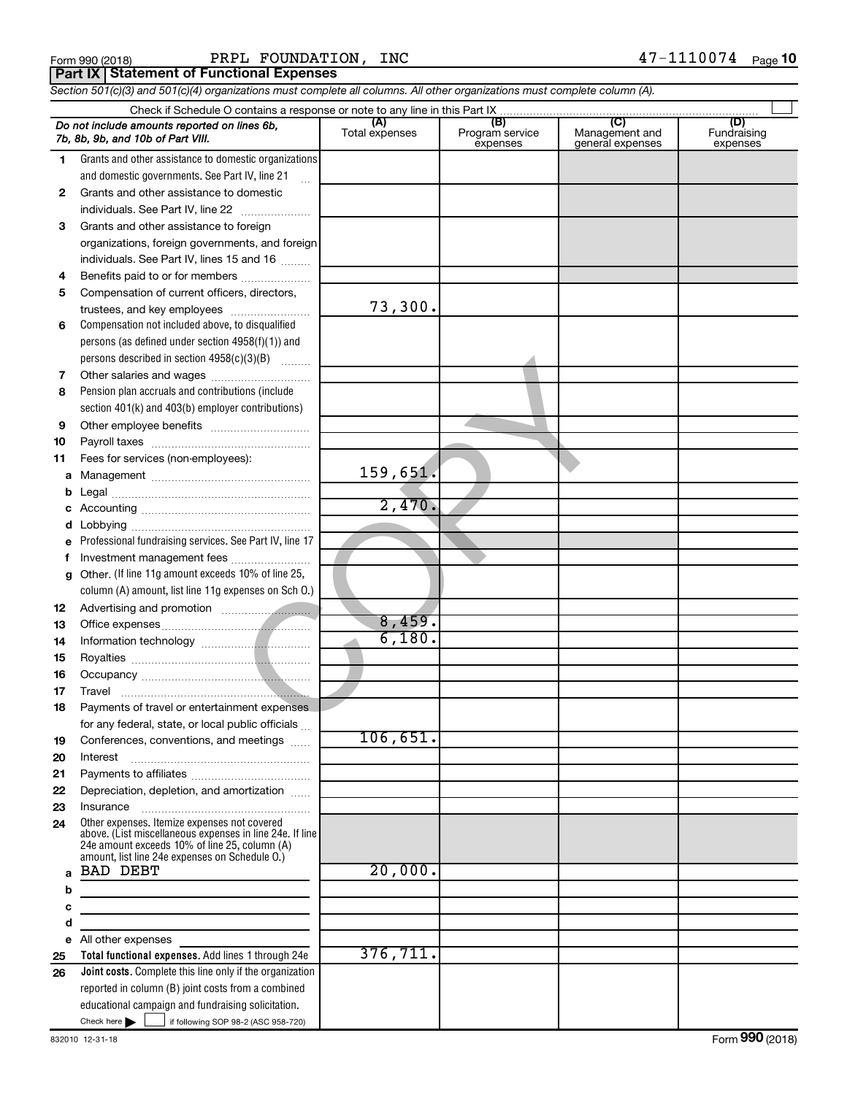| Form 990 (2018 |  |  |
|----------------|--|--|
|                |  |  |

 $\frac{1}{4}$   $\frac{1}{1}$   $\frac{1}{1}$   $\frac{1}{1}$   $\frac{1}{1}$   $\frac{1}{1}$   $\frac{1}{1}$   $\frac{1}{1}$   $\frac{1}{1}$   $\frac{1}{1}$   $\frac{1}{1}$   $\frac{1}{1}$   $\frac{1}{1}$   $\frac{1}{1}$   $\frac{1}{1}$   $\frac{1}{1}$   $\frac{1}{1}$   $\frac{1}{1}$   $\frac{1}{1}$   $\frac{1}{1}$   $\frac{1}{1}$   $\frac{1}{1}$  PRPL FOUNDATION, INC 47-1110074

**Part IX Statement of Functional Expenses**

*Section 501(c)(3) and 501(c)(4) organizations must complete all columns. All other organizations must complete column (A).*

|    | Do not include amounts reported on lines 6b,<br>7b, 8b, 9b, and 10b of Part VIII.                                                                                                                           | (A)<br>Total expenses | (B)<br>Program service<br>expenses | (C)<br>Management and<br>general expenses | (D)<br>Fundraising<br>expenses |  |  |  |  |
|----|-------------------------------------------------------------------------------------------------------------------------------------------------------------------------------------------------------------|-----------------------|------------------------------------|-------------------------------------------|--------------------------------|--|--|--|--|
| 1. | Grants and other assistance to domestic organizations                                                                                                                                                       |                       |                                    |                                           |                                |  |  |  |  |
|    | and domestic governments. See Part IV, line 21                                                                                                                                                              |                       |                                    |                                           |                                |  |  |  |  |
| 2  | Grants and other assistance to domestic                                                                                                                                                                     |                       |                                    |                                           |                                |  |  |  |  |
|    | individuals. See Part IV, line 22                                                                                                                                                                           |                       |                                    |                                           |                                |  |  |  |  |
| 3  | Grants and other assistance to foreign                                                                                                                                                                      |                       |                                    |                                           |                                |  |  |  |  |
|    | organizations, foreign governments, and foreign                                                                                                                                                             |                       |                                    |                                           |                                |  |  |  |  |
|    | individuals. See Part IV, lines 15 and 16                                                                                                                                                                   |                       |                                    |                                           |                                |  |  |  |  |
| 4  | Benefits paid to or for members                                                                                                                                                                             |                       |                                    |                                           |                                |  |  |  |  |
| 5  | Compensation of current officers, directors,                                                                                                                                                                |                       |                                    |                                           |                                |  |  |  |  |
|    | trustees, and key employees                                                                                                                                                                                 | 73,300.               |                                    |                                           |                                |  |  |  |  |
| 6  | Compensation not included above, to disqualified                                                                                                                                                            |                       |                                    |                                           |                                |  |  |  |  |
|    | persons (as defined under section 4958(f)(1)) and                                                                                                                                                           |                       |                                    |                                           |                                |  |  |  |  |
|    | persons described in section 4958(c)(3)(B)                                                                                                                                                                  |                       |                                    |                                           |                                |  |  |  |  |
| 7  |                                                                                                                                                                                                             |                       |                                    |                                           |                                |  |  |  |  |
| 8  | Pension plan accruals and contributions (include                                                                                                                                                            |                       |                                    |                                           |                                |  |  |  |  |
|    | section 401(k) and 403(b) employer contributions)                                                                                                                                                           |                       |                                    |                                           |                                |  |  |  |  |
| 9  |                                                                                                                                                                                                             |                       |                                    |                                           |                                |  |  |  |  |
| 10 |                                                                                                                                                                                                             |                       |                                    |                                           |                                |  |  |  |  |
| 11 | Fees for services (non-employees):                                                                                                                                                                          |                       |                                    |                                           |                                |  |  |  |  |
| а  |                                                                                                                                                                                                             | 159,651.              |                                    |                                           |                                |  |  |  |  |
| b  |                                                                                                                                                                                                             |                       |                                    |                                           |                                |  |  |  |  |
| с  |                                                                                                                                                                                                             | 2,470.                |                                    |                                           |                                |  |  |  |  |
| d  |                                                                                                                                                                                                             |                       |                                    |                                           |                                |  |  |  |  |
| е  | Professional fundraising services. See Part IV, line 17                                                                                                                                                     |                       |                                    |                                           |                                |  |  |  |  |
| f  | Investment management fees<br>Other. (If line 11g amount exceeds 10% of line 25,                                                                                                                            |                       |                                    |                                           |                                |  |  |  |  |
| g  | column (A) amount, list line 11g expenses on Sch 0.)                                                                                                                                                        |                       |                                    |                                           |                                |  |  |  |  |
| 12 |                                                                                                                                                                                                             |                       |                                    |                                           |                                |  |  |  |  |
| 13 |                                                                                                                                                                                                             | 8,459.                |                                    |                                           |                                |  |  |  |  |
| 14 |                                                                                                                                                                                                             | 6,180.                |                                    |                                           |                                |  |  |  |  |
| 15 |                                                                                                                                                                                                             |                       |                                    |                                           |                                |  |  |  |  |
| 16 |                                                                                                                                                                                                             |                       |                                    |                                           |                                |  |  |  |  |
| 17 | Travel                                                                                                                                                                                                      |                       |                                    |                                           |                                |  |  |  |  |
| 18 | Payments of travel or entertainment expenses                                                                                                                                                                |                       |                                    |                                           |                                |  |  |  |  |
|    | for any federal, state, or local public officials                                                                                                                                                           |                       |                                    |                                           |                                |  |  |  |  |
| 19 | Conferences, conventions, and meetings                                                                                                                                                                      | 106,651.              |                                    |                                           |                                |  |  |  |  |
| 20 | Interest                                                                                                                                                                                                    |                       |                                    |                                           |                                |  |  |  |  |
| 21 |                                                                                                                                                                                                             |                       |                                    |                                           |                                |  |  |  |  |
| 22 | Depreciation, depletion, and amortization                                                                                                                                                                   |                       |                                    |                                           |                                |  |  |  |  |
| 23 |                                                                                                                                                                                                             |                       |                                    |                                           |                                |  |  |  |  |
| 24 | Other expenses. Itemize expenses not covered<br>above. (List miscellaneous expenses in line 24e. If line<br>24e amount exceeds 10% of line 25, column (A)<br>amount, list line 24e expenses on Schedule O.) |                       |                                    |                                           |                                |  |  |  |  |
| a  | <b>BAD DEBT</b>                                                                                                                                                                                             | 20,000.               |                                    |                                           |                                |  |  |  |  |
| b  |                                                                                                                                                                                                             |                       |                                    |                                           |                                |  |  |  |  |
| с  | the contract of the contract of the contract of the contract of the contract of                                                                                                                             |                       |                                    |                                           |                                |  |  |  |  |
| d  | the control of the control of the control of the control of                                                                                                                                                 |                       |                                    |                                           |                                |  |  |  |  |
| е  | All other expenses                                                                                                                                                                                          |                       |                                    |                                           |                                |  |  |  |  |
| 25 | Total functional expenses. Add lines 1 through 24e                                                                                                                                                          | 376, 711.             |                                    |                                           |                                |  |  |  |  |
| 26 | Joint costs. Complete this line only if the organization                                                                                                                                                    |                       |                                    |                                           |                                |  |  |  |  |
|    | reported in column (B) joint costs from a combined<br>educational campaign and fundraising solicitation.                                                                                                    |                       |                                    |                                           |                                |  |  |  |  |
|    | Check here $\blacktriangleright$<br>if following SOP 98-2 (ASC 958-720)                                                                                                                                     |                       |                                    |                                           |                                |  |  |  |  |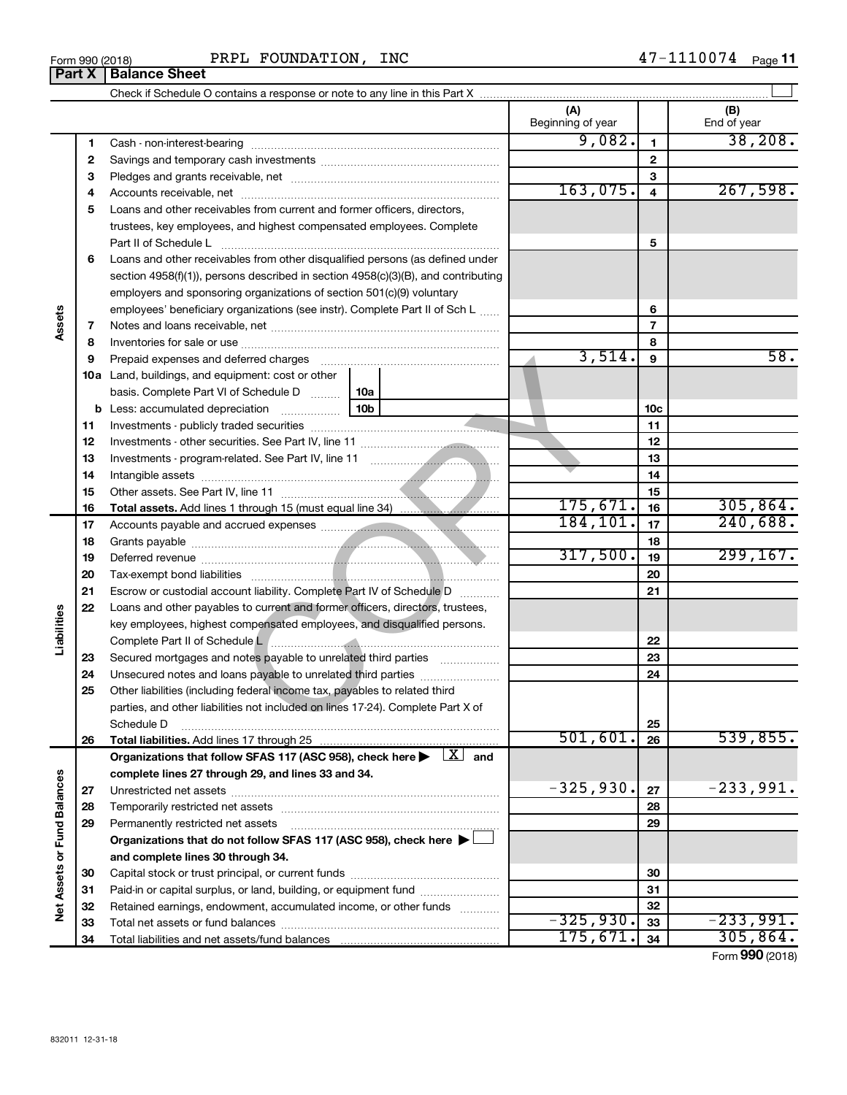| Form 990 (2018) | INC<br>FOUNDATION,<br>PRPL | 1110074<br>1 7<br>Page<br>$\overline{\phantom{0}}$ |
|-----------------|----------------------------|----------------------------------------------------|
|-----------------|----------------------------|----------------------------------------------------|

|                             |    |                                                                                                                                                                                                                                |            | (A)<br>Beginning of year |                 | (B)<br>End of year |
|-----------------------------|----|--------------------------------------------------------------------------------------------------------------------------------------------------------------------------------------------------------------------------------|------------|--------------------------|-----------------|--------------------|
|                             | 1  |                                                                                                                                                                                                                                |            | 9,082.                   | 1               | 38, 208.           |
|                             | 2  |                                                                                                                                                                                                                                |            |                          | $\mathbf{2}$    |                    |
|                             | з  |                                                                                                                                                                                                                                |            |                          | З               |                    |
|                             | 4  |                                                                                                                                                                                                                                |            | 163,075.                 | 4               | 267,598.           |
|                             | 5  | Loans and other receivables from current and former officers, directors,                                                                                                                                                       |            |                          |                 |                    |
|                             |    | trustees, key employees, and highest compensated employees. Complete                                                                                                                                                           |            |                          |                 |                    |
|                             |    | Part II of Schedule L                                                                                                                                                                                                          |            |                          | 5               |                    |
|                             | 6  | Loans and other receivables from other disqualified persons (as defined under                                                                                                                                                  |            |                          |                 |                    |
|                             |    | section 4958(f)(1)), persons described in section 4958(c)(3)(B), and contributing                                                                                                                                              |            |                          |                 |                    |
| Assets                      |    | employers and sponsoring organizations of section 501(c)(9) voluntary                                                                                                                                                          |            |                          |                 |                    |
|                             |    | employees' beneficiary organizations (see instr). Complete Part II of Sch L                                                                                                                                                    |            |                          | 6               |                    |
|                             | 7  |                                                                                                                                                                                                                                |            |                          | 7               |                    |
|                             | 8  |                                                                                                                                                                                                                                |            | 3,514.                   | 8               | 58.                |
|                             | 9  | Prepaid expenses and deferred charges [11] [11] prepaid expenses and deferred charges [11] [11] presummation and the Prepaid expension and the Prepaid expension and the Prepaid experiment of Prepaid experiment and the Prep |            |                          | 9               |                    |
|                             |    | <b>10a</b> Land, buildings, and equipment: cost or other                                                                                                                                                                       |            |                          |                 |                    |
|                             |    | basis. Complete Part VI of Schedule D<br><b>b</b> Less: accumulated depreciation                                                                                                                                               | 10a<br>10b |                          | 10 <sub>c</sub> |                    |
|                             | 11 |                                                                                                                                                                                                                                |            |                          | 11              |                    |
|                             | 12 |                                                                                                                                                                                                                                |            | 12                       |                 |                    |
|                             | 13 |                                                                                                                                                                                                                                |            | 13                       |                 |                    |
|                             | 14 |                                                                                                                                                                                                                                |            |                          | 14              |                    |
|                             | 15 |                                                                                                                                                                                                                                |            |                          | 15              |                    |
|                             | 16 |                                                                                                                                                                                                                                |            | 175,671.                 | 16              | 305,864.           |
|                             | 17 |                                                                                                                                                                                                                                |            | 184,101.                 | 17              | 240,688.           |
|                             | 18 |                                                                                                                                                                                                                                |            | 18                       |                 |                    |
|                             | 19 |                                                                                                                                                                                                                                |            | 317,500.                 | 19              | 299, 167.          |
|                             | 20 |                                                                                                                                                                                                                                |            |                          | 20              |                    |
|                             | 21 | Escrow or custodial account liability. Complete Part IV of Schedule D                                                                                                                                                          |            |                          | 21              |                    |
|                             | 22 | Loans and other payables to current and former officers, directors, trustees,                                                                                                                                                  |            |                          |                 |                    |
| Liabilities                 |    | key employees, highest compensated employees, and disqualified persons.                                                                                                                                                        |            |                          |                 |                    |
|                             |    | Complete Part II of Schedule Later manufacture and complete Part II of Schedule Later manufacture and complete                                                                                                                 |            |                          | 22              |                    |
|                             | 23 | Secured mortgages and notes payable to unrelated third parties                                                                                                                                                                 |            |                          | 23              |                    |
|                             | 24 | Unsecured notes and loans payable to unrelated third parties                                                                                                                                                                   |            |                          | 24              |                    |
|                             | 25 | Other liabilities (including federal income tax, payables to related third                                                                                                                                                     |            |                          |                 |                    |
|                             |    | parties, and other liabilities not included on lines 17-24). Complete Part X of                                                                                                                                                |            |                          |                 |                    |
|                             |    | Schedule D                                                                                                                                                                                                                     |            | 501,601.                 | 25              | 539,855.           |
|                             | 26 | Total liabilities. Add lines 17 through 25                                                                                                                                                                                     |            |                          | 26              |                    |
|                             |    | Organizations that follow SFAS 117 (ASC 958), check here $\blacktriangleright \begin{array}{c} \perp X \end{array}$ and                                                                                                        |            |                          |                 |                    |
|                             | 27 | complete lines 27 through 29, and lines 33 and 34.                                                                                                                                                                             |            | $-325,930.$              | 27              | $-233,991.$        |
|                             | 28 |                                                                                                                                                                                                                                |            |                          | 28              |                    |
|                             | 29 | Permanently restricted net assets                                                                                                                                                                                              |            |                          | 29              |                    |
|                             |    | Organizations that do not follow SFAS 117 (ASC 958), check here ▶ □                                                                                                                                                            |            |                          |                 |                    |
|                             |    | and complete lines 30 through 34.                                                                                                                                                                                              |            |                          |                 |                    |
| Net Assets or Fund Balances | 30 |                                                                                                                                                                                                                                |            |                          | 30              |                    |
|                             | 31 | Paid-in or capital surplus, or land, building, or equipment fund                                                                                                                                                               |            |                          | 31              |                    |
|                             | 32 | Retained earnings, endowment, accumulated income, or other funds                                                                                                                                                               |            |                          | 32              |                    |
|                             | 33 |                                                                                                                                                                                                                                |            | $-325,930.$              | 33              | $-233,991.$        |
|                             | 34 |                                                                                                                                                                                                                                | 175,671.   | 34                       | 305,864.        |                    |

Form (2018) **990**

## **Part X Balance Sheet**

|  | Form 990 (2018) |  |
|--|-----------------|--|
|  |                 |  |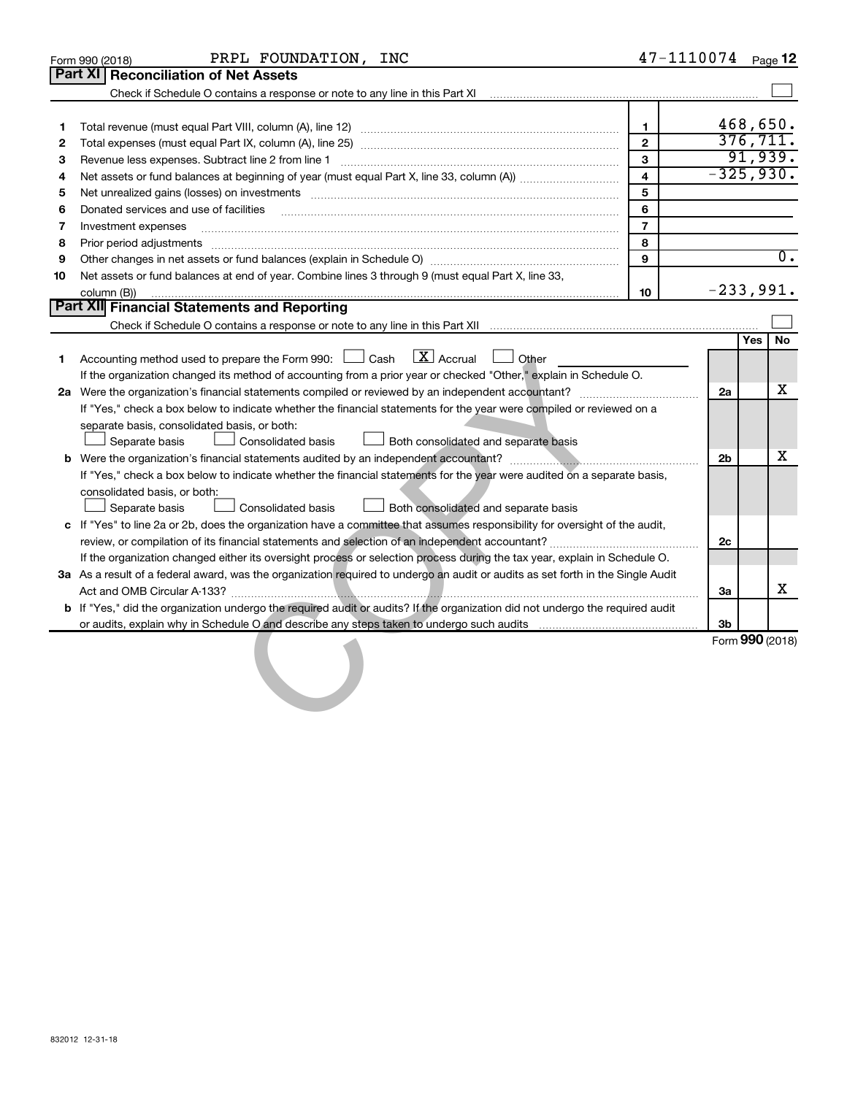|    | PRPL FOUNDATION, INC<br>Form 990 (2018)                                                                                                                                                                                        | 47-1110074              |                |     | Page 12          |
|----|--------------------------------------------------------------------------------------------------------------------------------------------------------------------------------------------------------------------------------|-------------------------|----------------|-----|------------------|
|    | <b>Part XI   Reconciliation of Net Assets</b>                                                                                                                                                                                  |                         |                |     |                  |
|    | Check if Schedule O contains a response or note to any line in this Part XI [11] [12] Check if Schedule O contains a response or note to any line in this Part XI                                                              |                         |                |     |                  |
|    |                                                                                                                                                                                                                                |                         |                |     |                  |
| 1  |                                                                                                                                                                                                                                | $\mathbf{1}$            |                |     | 468,650.         |
| 2  |                                                                                                                                                                                                                                | $\overline{2}$          |                |     | 376, 711.        |
| З  |                                                                                                                                                                                                                                | 3                       |                |     | 91,939.          |
| 4  |                                                                                                                                                                                                                                | $\overline{\mathbf{4}}$ | $-325,930.$    |     |                  |
| 5  | Net unrealized gains (losses) on investments [111] matter in the contract of the contract of the contract of the contract of the contract of the contract of the contract of the contract of the contract of the contract of t | 5                       |                |     |                  |
| 6  | Donated services and use of facilities                                                                                                                                                                                         | 6                       |                |     |                  |
| 7  | Investment expenses                                                                                                                                                                                                            | $\overline{7}$          |                |     |                  |
| 8  | Prior period adjustments www.communication.communication.communication.communication.com                                                                                                                                       | 8                       |                |     |                  |
| 9  |                                                                                                                                                                                                                                | 9                       |                |     | $\overline{0}$ . |
| 10 | Net assets or fund balances at end of year. Combine lines 3 through 9 (must equal Part X, line 33,                                                                                                                             |                         |                |     |                  |
|    | column (B))                                                                                                                                                                                                                    | 10                      | $-233,991.$    |     |                  |
|    | Part XII Financial Statements and Reporting                                                                                                                                                                                    |                         |                |     |                  |
|    |                                                                                                                                                                                                                                |                         |                |     |                  |
|    |                                                                                                                                                                                                                                |                         |                | Yes | No               |
| 1  | $\mathbf{X}$ Accrual<br>Accounting method used to prepare the Form 990: [130] Cash<br>Other                                                                                                                                    |                         |                |     |                  |
|    | If the organization changed its method of accounting from a prior year or checked "Other," explain in Schedule O.                                                                                                              |                         |                |     |                  |
|    |                                                                                                                                                                                                                                |                         | 2a             |     | x                |
|    | If "Yes," check a box below to indicate whether the financial statements for the year were compiled or reviewed on a                                                                                                           |                         |                |     |                  |
|    | separate basis, consolidated basis, or both:                                                                                                                                                                                   |                         |                |     |                  |
|    | Separate basis<br>Consolidated basis<br>Both consolidated and separate basis                                                                                                                                                   |                         |                |     |                  |
|    |                                                                                                                                                                                                                                |                         | 2 <sub>b</sub> |     | x                |
|    | If "Yes," check a box below to indicate whether the financial statements for the year were audited on a separate basis,                                                                                                        |                         |                |     |                  |
|    | consolidated basis, or both:                                                                                                                                                                                                   |                         |                |     |                  |
|    | Separate basis<br><b>Consolidated basis</b><br>Both consolidated and separate basis                                                                                                                                            |                         |                |     |                  |
|    | c If "Yes" to line 2a or 2b, does the organization have a committee that assumes responsibility for oversight of the audit,                                                                                                    |                         |                |     |                  |
|    |                                                                                                                                                                                                                                |                         | 2c             |     |                  |
|    | If the organization changed either its oversight process or selection process during the tax year, explain in Schedule O.                                                                                                      |                         |                |     |                  |
|    | 3a As a result of a federal award, was the organization required to undergo an audit or audits as set forth in the Single Audit                                                                                                |                         |                |     |                  |
|    |                                                                                                                                                                                                                                |                         | За             |     | X                |
|    | b If "Yes," did the organization undergo the required audit or audits? If the organization did not undergo the required audit                                                                                                  |                         |                |     |                  |
|    |                                                                                                                                                                                                                                |                         | Зb             |     |                  |
|    |                                                                                                                                                                                                                                |                         |                |     | Form 990 (2018)  |
|    |                                                                                                                                                                                                                                |                         |                |     |                  |
|    |                                                                                                                                                                                                                                |                         |                |     |                  |
|    |                                                                                                                                                                                                                                |                         |                |     |                  |
|    |                                                                                                                                                                                                                                |                         |                |     |                  |
|    |                                                                                                                                                                                                                                |                         |                |     |                  |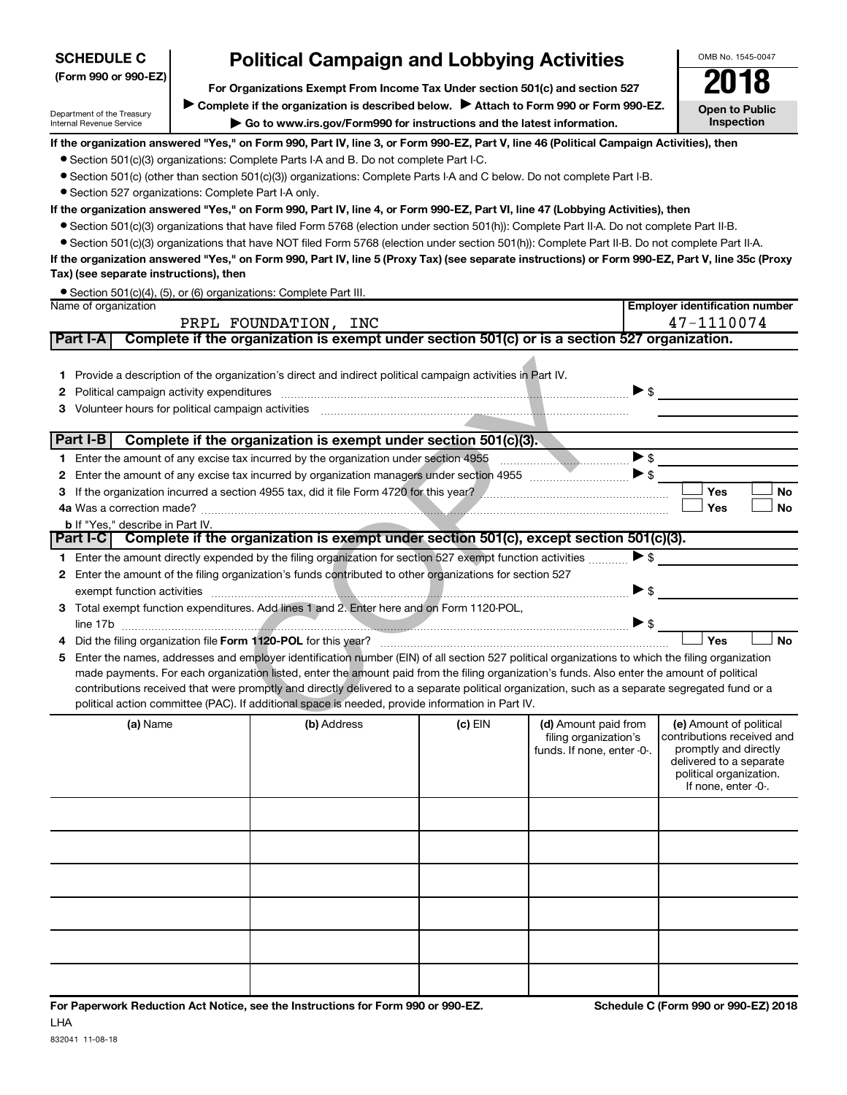| <b>SCHEDULE C</b>                                                                                     |  | <b>Political Campaign and Lobbying Activities</b>                                                                                                                                                                                                                                              |         |                            | OMB No. 1545-0047                                |           |
|-------------------------------------------------------------------------------------------------------|--|------------------------------------------------------------------------------------------------------------------------------------------------------------------------------------------------------------------------------------------------------------------------------------------------|---------|----------------------------|--------------------------------------------------|-----------|
| (Form 990 or 990-EZ)<br>For Organizations Exempt From Income Tax Under section 501(c) and section 527 |  |                                                                                                                                                                                                                                                                                                |         |                            |                                                  |           |
|                                                                                                       |  |                                                                                                                                                                                                                                                                                                |         |                            |                                                  |           |
| Department of the Treasury                                                                            |  | Complete if the organization is described below. Attach to Form 990 or Form 990-EZ.                                                                                                                                                                                                            |         |                            | <b>Open to Public</b><br><b>Inspection</b>       |           |
| Internal Revenue Service                                                                              |  | Go to www.irs.gov/Form990 for instructions and the latest information.                                                                                                                                                                                                                         |         |                            |                                                  |           |
|                                                                                                       |  | If the organization answered "Yes," on Form 990, Part IV, line 3, or Form 990-EZ, Part V, line 46 (Political Campaign Activities), then                                                                                                                                                        |         |                            |                                                  |           |
|                                                                                                       |  | • Section 501(c)(3) organizations: Complete Parts I-A and B. Do not complete Part I-C.<br>• Section 501(c) (other than section 501(c)(3)) organizations: Complete Parts I-A and C below. Do not complete Part I-B.                                                                             |         |                            |                                                  |           |
| • Section 527 organizations: Complete Part I-A only.                                                  |  |                                                                                                                                                                                                                                                                                                |         |                            |                                                  |           |
|                                                                                                       |  | If the organization answered "Yes," on Form 990, Part IV, line 4, or Form 990-EZ, Part VI, line 47 (Lobbying Activities), then                                                                                                                                                                 |         |                            |                                                  |           |
|                                                                                                       |  | • Section 501(c)(3) organizations that have filed Form 5768 (election under section 501(h)): Complete Part II-A. Do not complete Part II-B.                                                                                                                                                    |         |                            |                                                  |           |
|                                                                                                       |  | • Section 501(c)(3) organizations that have NOT filed Form 5768 (election under section 501(h)): Complete Part II-B. Do not complete Part II-A.                                                                                                                                                |         |                            |                                                  |           |
|                                                                                                       |  | If the organization answered "Yes," on Form 990, Part IV, line 5 (Proxy Tax) (see separate instructions) or Form 990-EZ, Part V, line 35c (Proxy                                                                                                                                               |         |                            |                                                  |           |
| Tax) (see separate instructions), then                                                                |  |                                                                                                                                                                                                                                                                                                |         |                            |                                                  |           |
|                                                                                                       |  | • Section 501(c)(4), (5), or (6) organizations: Complete Part III.                                                                                                                                                                                                                             |         |                            |                                                  |           |
| Name of organization                                                                                  |  |                                                                                                                                                                                                                                                                                                |         |                            | <b>Employer identification number</b>            |           |
|                                                                                                       |  | PRPL FOUNDATION, INC                                                                                                                                                                                                                                                                           |         |                            | 47-1110074                                       |           |
| Part I-A                                                                                              |  | Complete if the organization is exempt under section 501(c) or is a section 527 organization.                                                                                                                                                                                                  |         |                            |                                                  |           |
|                                                                                                       |  |                                                                                                                                                                                                                                                                                                |         |                            |                                                  |           |
| 1.                                                                                                    |  | Provide a description of the organization's direct and indirect political campaign activities in Part IV.                                                                                                                                                                                      |         |                            |                                                  |           |
| 2                                                                                                     |  |                                                                                                                                                                                                                                                                                                |         |                            | $\triangleright$ \$                              |           |
| 3                                                                                                     |  |                                                                                                                                                                                                                                                                                                |         |                            |                                                  |           |
| Part I-B                                                                                              |  | Complete if the organization is exempt under section 501(c)(3).                                                                                                                                                                                                                                |         |                            |                                                  |           |
|                                                                                                       |  |                                                                                                                                                                                                                                                                                                |         |                            | $\blacktriangleright$ \$                         |           |
| 2                                                                                                     |  |                                                                                                                                                                                                                                                                                                |         |                            | $\blacktriangleright$ \$                         |           |
| 3                                                                                                     |  | If the organization incurred a section 4955 tax, did it file Form 4720 for this year?                                                                                                                                                                                                          |         |                            | Yes                                              | <b>No</b> |
|                                                                                                       |  |                                                                                                                                                                                                                                                                                                |         |                            | Yes                                              | <b>No</b> |
| <b>b</b> If "Yes," describe in Part IV.                                                               |  |                                                                                                                                                                                                                                                                                                |         |                            |                                                  |           |
|                                                                                                       |  | Part I-C Complete if the organization is exempt under section 501(c), except section 501(c)(3).                                                                                                                                                                                                |         |                            |                                                  |           |
|                                                                                                       |  | 1 Enter the amount directly expended by the filing organization for section 527 exempt function activities                                                                                                                                                                                     |         |                            | $\blacktriangleright$ \$                         |           |
|                                                                                                       |  | 2 Enter the amount of the filing organization's funds contributed to other organizations for section 527                                                                                                                                                                                       |         |                            |                                                  |           |
|                                                                                                       |  | exempt function activities with a construction of the construction of the construction of the construction of the construction of the construction of the construction of the construction of the construction of the construc                                                                 |         |                            | $\blacktriangleright$ \$                         |           |
| 3                                                                                                     |  | Total exempt function expenditures. Add lines 1 and 2. Enter here and on Form 1120-POL,                                                                                                                                                                                                        |         |                            |                                                  |           |
|                                                                                                       |  |                                                                                                                                                                                                                                                                                                |         |                            | $\triangleright$ \$                              |           |
|                                                                                                       |  |                                                                                                                                                                                                                                                                                                |         |                            | Yes                                              | <b>No</b> |
| 5                                                                                                     |  | Enter the names, addresses and employer identification number (EIN) of all section 527 political organizations to which the filing organization<br>made payments. For each organization listed, enter the amount paid from the filing organization's funds. Also enter the amount of political |         |                            |                                                  |           |
|                                                                                                       |  | contributions received that were promptly and directly delivered to a separate political organization, such as a separate segregated fund or a                                                                                                                                                 |         |                            |                                                  |           |
|                                                                                                       |  | political action committee (PAC). If additional space is needed, provide information in Part IV.                                                                                                                                                                                               |         |                            |                                                  |           |
| (a) Name                                                                                              |  | (b) Address                                                                                                                                                                                                                                                                                    | (c) EIN | (d) Amount paid from       | (e) Amount of political                          |           |
|                                                                                                       |  |                                                                                                                                                                                                                                                                                                |         | filing organization's      | contributions received and                       |           |
|                                                                                                       |  |                                                                                                                                                                                                                                                                                                |         | funds. If none, enter -0-. | promptly and directly<br>delivered to a separate |           |
|                                                                                                       |  |                                                                                                                                                                                                                                                                                                |         |                            | political organization.                          |           |
|                                                                                                       |  |                                                                                                                                                                                                                                                                                                |         |                            | If none, enter -0-.                              |           |
|                                                                                                       |  |                                                                                                                                                                                                                                                                                                |         |                            |                                                  |           |
|                                                                                                       |  |                                                                                                                                                                                                                                                                                                |         |                            |                                                  |           |
|                                                                                                       |  |                                                                                                                                                                                                                                                                                                |         |                            |                                                  |           |
|                                                                                                       |  |                                                                                                                                                                                                                                                                                                |         |                            |                                                  |           |
|                                                                                                       |  |                                                                                                                                                                                                                                                                                                |         |                            |                                                  |           |
|                                                                                                       |  |                                                                                                                                                                                                                                                                                                |         |                            |                                                  |           |
|                                                                                                       |  |                                                                                                                                                                                                                                                                                                |         |                            |                                                  |           |
|                                                                                                       |  |                                                                                                                                                                                                                                                                                                |         |                            |                                                  |           |
|                                                                                                       |  |                                                                                                                                                                                                                                                                                                |         |                            |                                                  |           |
|                                                                                                       |  |                                                                                                                                                                                                                                                                                                |         |                            |                                                  |           |
|                                                                                                       |  |                                                                                                                                                                                                                                                                                                |         |                            |                                                  |           |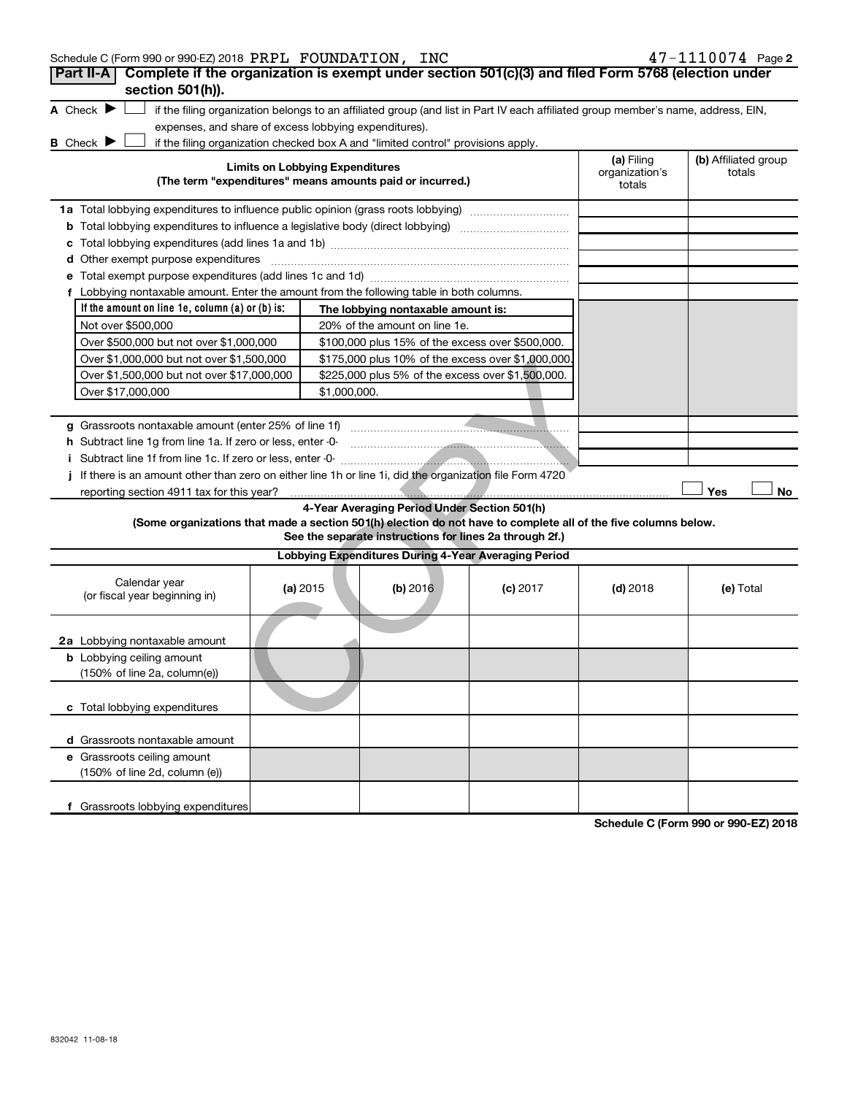| Schedule C (Form 990 or 990-EZ) 2018 PRPL FOUNDATION, INC                                                                                                          |                                                                                   |                                                         |            |                                        | 47-1110074 Page 2              |
|--------------------------------------------------------------------------------------------------------------------------------------------------------------------|-----------------------------------------------------------------------------------|---------------------------------------------------------|------------|----------------------------------------|--------------------------------|
| Complete if the organization is exempt under section 501(c)(3) and filed Form 5768 (election under<br>Part II-A                                                    |                                                                                   |                                                         |            |                                        |                                |
| section 501(h)).                                                                                                                                                   |                                                                                   |                                                         |            |                                        |                                |
| A Check $\blacktriangleright$<br>if the filing organization belongs to an affiliated group (and list in Part IV each affiliated group member's name, address, EIN, |                                                                                   |                                                         |            |                                        |                                |
| expenses, and share of excess lobbying expenditures).                                                                                                              |                                                                                   |                                                         |            |                                        |                                |
| <b>B</b> Check $\blacktriangleright$<br>if the filing organization checked box A and "limited control" provisions apply.                                           |                                                                                   |                                                         |            |                                        |                                |
| <b>Limits on Lobbying Expenditures</b><br>(The term "expenditures" means amounts paid or incurred.)                                                                |                                                                                   |                                                         |            | (a) Filing<br>organization's<br>totals | (b) Affiliated group<br>totals |
|                                                                                                                                                                    | 1a Total lobbying expenditures to influence public opinion (grass roots lobbying) |                                                         |            |                                        |                                |
| <b>b</b> Total lobbying expenditures to influence a legislative body (direct lobbying) <i>manumumumum</i>                                                          |                                                                                   |                                                         |            |                                        |                                |
| с                                                                                                                                                                  |                                                                                   |                                                         |            |                                        |                                |
| d Other exempt purpose expenditures                                                                                                                                |                                                                                   |                                                         |            |                                        |                                |
|                                                                                                                                                                    |                                                                                   |                                                         |            |                                        |                                |
| f Lobbying nontaxable amount. Enter the amount from the following table in both columns.                                                                           |                                                                                   |                                                         |            |                                        |                                |
| If the amount on line $1e$ , column $(a)$ or $(b)$ is:                                                                                                             |                                                                                   | The lobbying nontaxable amount is:                      |            |                                        |                                |
| Not over \$500,000                                                                                                                                                 |                                                                                   | 20% of the amount on line 1e.                           |            |                                        |                                |
| Over \$500,000 but not over \$1,000,000                                                                                                                            |                                                                                   | \$100,000 plus 15% of the excess over \$500,000.        |            |                                        |                                |
| Over \$1,000,000 but not over \$1,500,000                                                                                                                          |                                                                                   | \$175,000 plus 10% of the excess over \$1,000,000       |            |                                        |                                |
| Over \$1,500,000 but not over \$17,000,000                                                                                                                         |                                                                                   | \$225,000 plus 5% of the excess over \$1,500,000.       |            |                                        |                                |
| Over \$17,000,000                                                                                                                                                  | \$1,000,000.                                                                      |                                                         |            |                                        |                                |
|                                                                                                                                                                    |                                                                                   |                                                         |            |                                        |                                |
| g Grassroots nontaxable amount (enter 25% of line 1f)                                                                                                              |                                                                                   |                                                         |            |                                        |                                |
| h Subtract line 1g from line 1a. If zero or less, enter -0-                                                                                                        |                                                                                   |                                                         |            |                                        |                                |
|                                                                                                                                                                    |                                                                                   |                                                         |            |                                        |                                |
| If there is an amount other than zero on either line 1h or line 1i, did the organization file Form 4720                                                            |                                                                                   |                                                         |            |                                        |                                |
| reporting section 4911 tax for this year?                                                                                                                          |                                                                                   |                                                         |            |                                        | Yes<br>No                      |
|                                                                                                                                                                    |                                                                                   | 4-Year Averaging Period Under Section 501(h)            |            |                                        |                                |
| (Some organizations that made a section 501(h) election do not have to complete all of the five columns below.                                                     |                                                                                   |                                                         |            |                                        |                                |
|                                                                                                                                                                    |                                                                                   | See the separate instructions for lines 2a through 2f.) |            |                                        |                                |
|                                                                                                                                                                    |                                                                                   | Lobbying Expenditures During 4-Year Averaging Period    |            |                                        |                                |
| Calendar year<br>(or fiscal year beginning in)                                                                                                                     | (a) 2015                                                                          | (b) 2016                                                | $(c)$ 2017 | $(d)$ 2018                             | (e) Total                      |
| 2a Lobbying nontaxable amount                                                                                                                                      |                                                                                   |                                                         |            |                                        |                                |
| <b>b</b> Lobbying ceiling amount<br>(150% of line 2a, column(e))                                                                                                   |                                                                                   |                                                         |            |                                        |                                |
| c Total lobbying expenditures                                                                                                                                      |                                                                                   |                                                         |            |                                        |                                |
| d Grassroots nontaxable amount                                                                                                                                     |                                                                                   |                                                         |            |                                        |                                |
| e Grassroots ceiling amount                                                                                                                                        |                                                                                   |                                                         |            |                                        |                                |
| (150% of line 2d, column (e))                                                                                                                                      |                                                                                   |                                                         |            |                                        |                                |
| f Grassroots lobbying expenditures                                                                                                                                 |                                                                                   |                                                         |            |                                        |                                |

**Schedule C (Form 990 or 990-EZ) 2018**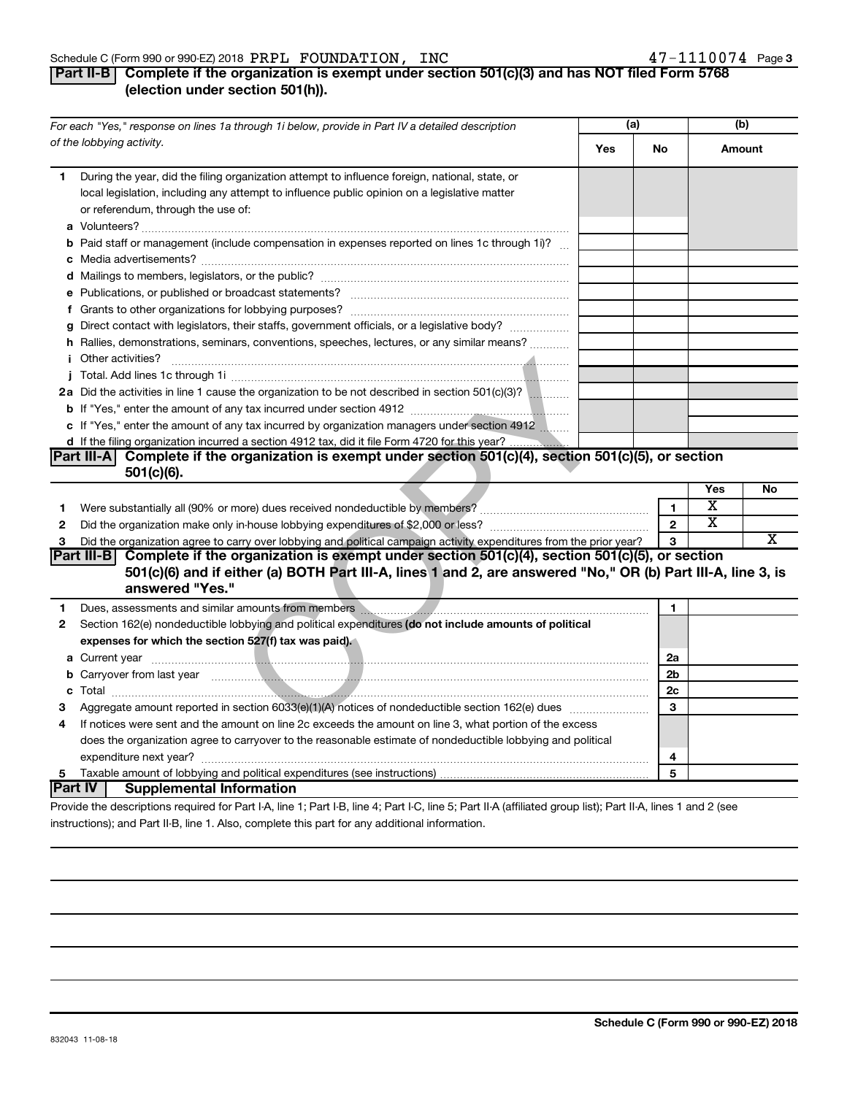#### Schedule C (Form 990 or 990-EZ) 2018  $\rm PRPL$   $\rm \, FOUNDATION$  ,  $\rm \, INC$   $\rm \, 47-1110074$   $\rm \, Page$

#### **Part II-B** Complete if the organization is exempt under section 501(c)(3) and has NOT filed Form 5768 **(election under section 501(h)).**

| For each "Yes," response on lines 1a through 1i below, provide in Part IV a detailed description |                                                                                                                                                                                                                                      | (a) |                | (b)                     |    |  |
|--------------------------------------------------------------------------------------------------|--------------------------------------------------------------------------------------------------------------------------------------------------------------------------------------------------------------------------------------|-----|----------------|-------------------------|----|--|
|                                                                                                  | of the lobbying activity.                                                                                                                                                                                                            | Yes | No             | Amount                  |    |  |
| 1                                                                                                | During the year, did the filing organization attempt to influence foreign, national, state, or<br>local legislation, including any attempt to influence public opinion on a legislative matter<br>or referendum, through the use of: |     |                |                         |    |  |
|                                                                                                  | <b>b</b> Paid staff or management (include compensation in expenses reported on lines 1c through 1i)?                                                                                                                                |     |                |                         |    |  |
|                                                                                                  |                                                                                                                                                                                                                                      |     |                |                         |    |  |
|                                                                                                  |                                                                                                                                                                                                                                      |     |                |                         |    |  |
|                                                                                                  |                                                                                                                                                                                                                                      |     |                |                         |    |  |
|                                                                                                  |                                                                                                                                                                                                                                      |     |                |                         |    |  |
|                                                                                                  | g Direct contact with legislators, their staffs, government officials, or a legislative body?                                                                                                                                        |     |                |                         |    |  |
|                                                                                                  | h Rallies, demonstrations, seminars, conventions, speeches, lectures, or any similar means?                                                                                                                                          |     |                |                         |    |  |
|                                                                                                  |                                                                                                                                                                                                                                      |     |                |                         |    |  |
|                                                                                                  |                                                                                                                                                                                                                                      |     |                |                         |    |  |
|                                                                                                  | 2a Did the activities in line 1 cause the organization to be not described in section 501(c)(3)?                                                                                                                                     |     |                |                         |    |  |
|                                                                                                  |                                                                                                                                                                                                                                      |     |                |                         |    |  |
|                                                                                                  | c If "Yes," enter the amount of any tax incurred by organization managers under section 4912                                                                                                                                         |     |                |                         |    |  |
|                                                                                                  | d If the filing organization incurred a section 4912 tax, did it file Form 4720 for this year?                                                                                                                                       |     |                |                         |    |  |
|                                                                                                  | Part III-A Complete if the organization is exempt under section 501(c)(4), section 501(c)(5), or section<br>$501(c)(6)$ .                                                                                                            |     |                |                         |    |  |
|                                                                                                  |                                                                                                                                                                                                                                      |     |                | Yes                     | No |  |
| 1                                                                                                |                                                                                                                                                                                                                                      |     | 1              | $\overline{\textbf{x}}$ |    |  |
| $\mathbf{2}$                                                                                     |                                                                                                                                                                                                                                      |     | $\mathbf{2}$   | $\overline{\text{x}}$   |    |  |
| 3                                                                                                | Did the organization agree to carry over lobbying and political campaign activity expenditures from the prior year?                                                                                                                  |     |                |                         | X  |  |
|                                                                                                  | 3<br>Part III-B Complete if the organization is exempt under section $501(c)(4)$ , section $501(c)(5)$ , or section                                                                                                                  |     |                |                         |    |  |
|                                                                                                  | 501(c)(6) and if either (a) BOTH Part III-A, lines 1 and 2, are answered "No," OR (b) Part III-A, line 3, is<br>answered "Yes."                                                                                                      |     |                |                         |    |  |
| 1                                                                                                |                                                                                                                                                                                                                                      |     | 1              |                         |    |  |
| $\mathbf{2}$                                                                                     | Section 162(e) nondeductible lobbying and political expenditures (do not include amounts of political                                                                                                                                |     |                |                         |    |  |
|                                                                                                  | expenses for which the section 527(f) tax was paid).                                                                                                                                                                                 |     |                |                         |    |  |
|                                                                                                  |                                                                                                                                                                                                                                      |     | 2a             |                         |    |  |
|                                                                                                  | b Carryover from last year manufactured and contact the contract of the contract of the contract of the contract of the contract of the contract of the contract of the contract of the contract of the contract of the contra       |     | 2 <sub>b</sub> |                         |    |  |
|                                                                                                  |                                                                                                                                                                                                                                      |     | 2c             |                         |    |  |
| 3                                                                                                | Aggregate amount reported in section 6033(e)(1)(A) notices of nondeductible section 162(e) dues manuscription                                                                                                                        |     | 3              |                         |    |  |
| 4                                                                                                | If notices were sent and the amount on line 2c exceeds the amount on line 3, what portion of the excess                                                                                                                              |     |                |                         |    |  |
|                                                                                                  | does the organization agree to carryover to the reasonable estimate of nondeductible lobbying and political                                                                                                                          |     |                |                         |    |  |
|                                                                                                  |                                                                                                                                                                                                                                      |     | 4              |                         |    |  |
| 5.                                                                                               |                                                                                                                                                                                                                                      |     | 5              |                         |    |  |
|                                                                                                  | Part IV  <br><b>Supplemental Information</b>                                                                                                                                                                                         |     |                |                         |    |  |
|                                                                                                  | Drovide the descriptions required for Part LA line 1: Part LR line 4: Part LC line 5: Part ILA (affiliated group list): Part ILA lines 1 and 2 (see                                                                                  |     |                |                         |    |  |

Provide the descriptions required for Part I-A, line 1; Part I-B, line 4; Part I-C, line 5; Part II-A (affiliated group list); Part II-A, lines 1 and 2 (see instructions); and Part II-B, line 1. Also, complete this part for any additional information.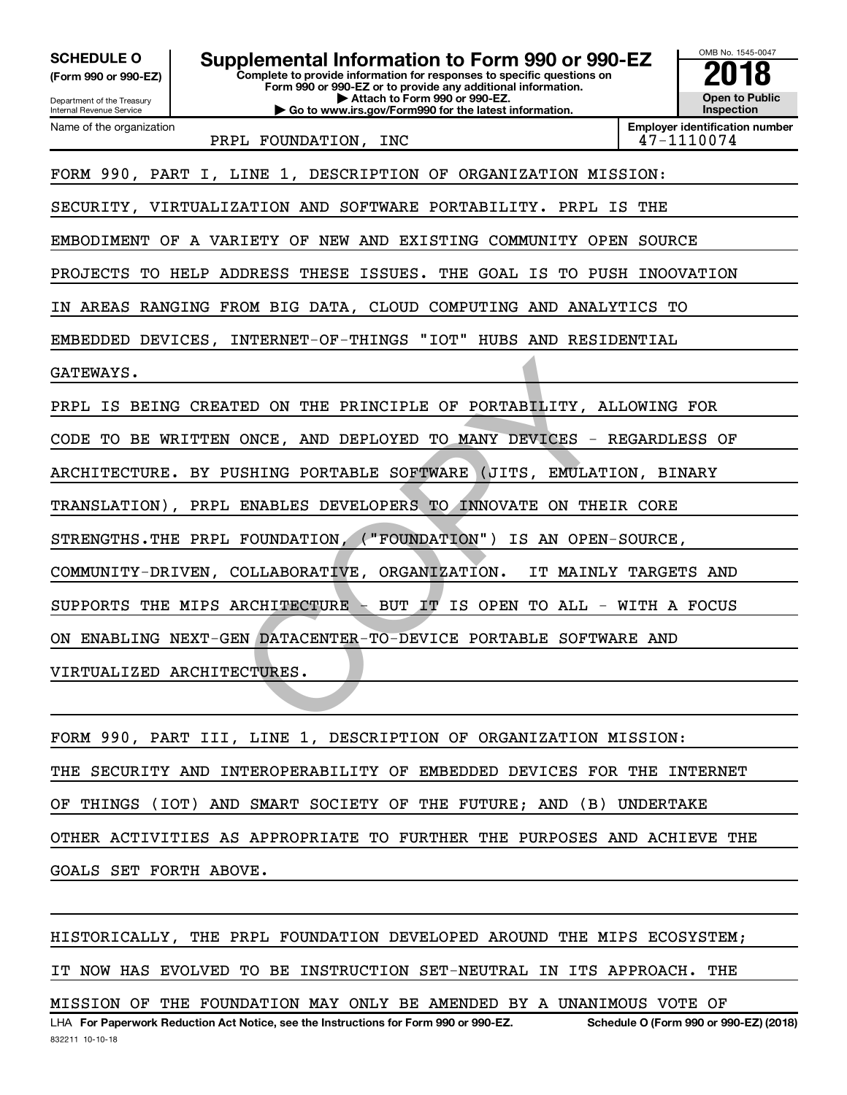| <b>SCHEDULE O</b><br>(Form 990 or 990-EZ)<br>Department of the Treasury<br>Internal Revenue Service | Supplemental Information to Form 990 or 990-EZ<br>Complete to provide information for responses to specific questions on<br>Form 990 or 990-EZ or to provide any additional information.<br>Attach to Form 990 or 990-EZ.<br>Go to www.irs.gov/Form990 for the latest information. |     |  |  |  |  |  |
|-----------------------------------------------------------------------------------------------------|------------------------------------------------------------------------------------------------------------------------------------------------------------------------------------------------------------------------------------------------------------------------------------|-----|--|--|--|--|--|
| Name of the organization                                                                            | <b>Employer identification number</b><br>47-1110074                                                                                                                                                                                                                                |     |  |  |  |  |  |
| PRPL FOUNDATION, INC<br>FORM 990, PART I, LINE 1, DESCRIPTION OF ORGANIZATION MISSION:              |                                                                                                                                                                                                                                                                                    |     |  |  |  |  |  |
|                                                                                                     | SECURITY, VIRTUALIZATION AND SOFTWARE PORTABILITY. PRPL IS                                                                                                                                                                                                                         | THE |  |  |  |  |  |
|                                                                                                     | EMBODIMENT OF A VARIETY OF NEW AND EXISTING COMMUNITY OPEN SOURCE                                                                                                                                                                                                                  |     |  |  |  |  |  |
|                                                                                                     | PROJECTS TO HELP ADDRESS THESE<br>ISSUES.<br>THE GOAL IS TO PUSH INOOVATION                                                                                                                                                                                                        |     |  |  |  |  |  |
| AREAS RANGING FROM BIG DATA, CLOUD COMPUTING AND ANALYTICS TO<br>IN.                                |                                                                                                                                                                                                                                                                                    |     |  |  |  |  |  |
|                                                                                                     | EMBEDDED DEVICES, INTERNET-OF-THINGS "IOT" HUBS AND RESIDENTIAL                                                                                                                                                                                                                    |     |  |  |  |  |  |
| GATEWAYS.                                                                                           |                                                                                                                                                                                                                                                                                    |     |  |  |  |  |  |
|                                                                                                     | PRPL IS BEING CREATED ON THE PRINCIPLE OF PORTABILITY, ALLOWING FOR                                                                                                                                                                                                                |     |  |  |  |  |  |
| CODE TO BE WRITTEN ONCE, AND DEPLOYED TO MANY DEVICES - REGARDLESS OF                               |                                                                                                                                                                                                                                                                                    |     |  |  |  |  |  |
| ARCHITECTURE. BY PUSHING PORTABLE SOFTWARE<br>(JITS, EMULATION, BINARY                              |                                                                                                                                                                                                                                                                                    |     |  |  |  |  |  |
| TRANSLATION), PRPL ENABLES DEVELOPERS TO INNOVATE ON THEIR CORE                                     |                                                                                                                                                                                                                                                                                    |     |  |  |  |  |  |
| STRENGTHS. THE PRPL FOUNDATION, ("FOUNDATION")<br>IS AN OPEN-SOURCE,                                |                                                                                                                                                                                                                                                                                    |     |  |  |  |  |  |
| COMMUNITY-DRIVEN, COLLABORATIVE, ORGANIZATION.<br>IT MAINLY TARGETS AND                             |                                                                                                                                                                                                                                                                                    |     |  |  |  |  |  |
| SUPPORTS THE MIPS ARCHITECTURE -<br>BUT IT IS OPEN TO ALL - WITH A FOCUS                            |                                                                                                                                                                                                                                                                                    |     |  |  |  |  |  |
| ENABLING NEXT-GEN DATACENTER-TO-DEVICE PORTABLE SOFTWARE AND<br>ON.                                 |                                                                                                                                                                                                                                                                                    |     |  |  |  |  |  |
| VIRTUALIZED ARCHITECTURES.                                                                          |                                                                                                                                                                                                                                                                                    |     |  |  |  |  |  |
|                                                                                                     |                                                                                                                                                                                                                                                                                    |     |  |  |  |  |  |
|                                                                                                     |                                                                                                                                                                                                                                                                                    |     |  |  |  |  |  |

FORM 990, PART III, LINE 1, DESCRIPTION OF ORGANIZATION MISSION: THE SECURITY AND INTEROPERABILITY OF EMBEDDED DEVICES FOR THE INTERNET OF THINGS (IOT) AND SMART SOCIETY OF THE FUTURE; AND (B) UNDERTAKE OTHER ACTIVITIES AS APPROPRIATE TO FURTHER THE PURPOSES AND ACHIEVE THE GOALS SET FORTH ABOVE.

LHA For Paperwork Reduction Act Notice, see the Instructions for Form 990 or 990-EZ. Schedule O (Form 990 or 990-EZ) (2018) HISTORICALLY, THE PRPL FOUNDATION DEVELOPED AROUND THE MIPS ECOSYSTEM; IT NOW HAS EVOLVED TO BE INSTRUCTION SET-NEUTRAL IN ITS APPROACH. THE MISSION OF THE FOUNDATION MAY ONLY BE AMENDED BY A UNANIMOUS VOTE OF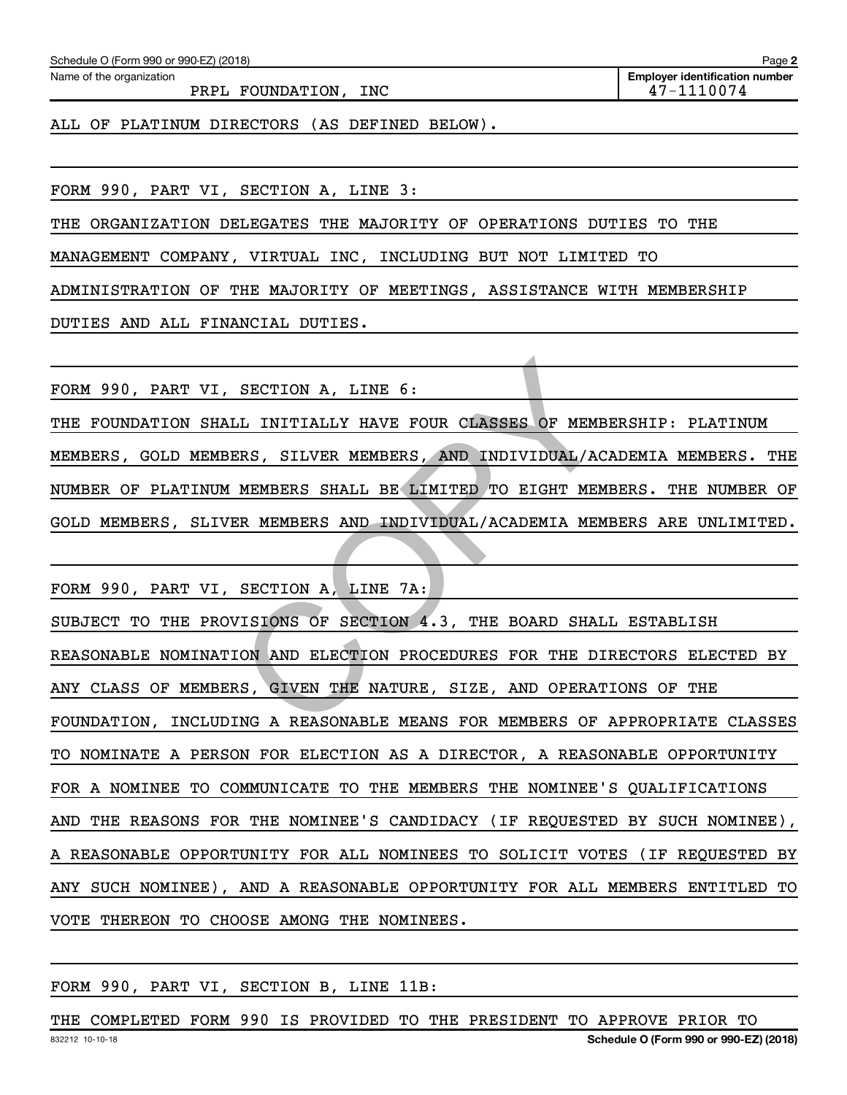Name of the organization

PRPL FOUNDATION, INC 47-1110074

**Employer identification number**

ALL OF PLATINUM DIRECTORS (AS DEFINED BELOW).

FORM 990, PART VI, SECTION A, LINE 3:

THE ORGANIZATION DELEGATES THE MAJORITY OF OPERATIONS DUTIES TO THE

MANAGEMENT COMPANY, VIRTUAL INC, INCLUDING BUT NOT LIMITED TO

ADMINISTRATION OF THE MAJORITY OF MEETINGS, ASSISTANCE WITH MEMBERSHIP

DUTIES AND ALL FINANCIAL DUTIES.

FORM 990, PART VI, SECTION A, LINE 6:

THE FOUNDATION SHALL INITIALLY HAVE FOUR CLASSES OF MEMBERSHIP: PLATINUM MEMBERS, GOLD MEMBERS, SILVER MEMBERS, AND INDIVIDUAL/ACADEMIA MEMBERS. THE NUMBER OF PLATINUM MEMBERS SHALL BE LIMITED TO EIGHT MEMBERS. THE NUMBER OF GOLD MEMBERS, SLIVER MEMBERS AND INDIVIDUAL/ACADEMIA MEMBERS ARE UNLIMITED.

FORM 990, PART VI, SECTION A, LINE 7A: SUBJECT TO THE PROVISIONS OF SECTION 4.3, THE BOARD SHALL ESTABLISH REASONABLE NOMINATION AND ELECTION PROCEDURES FOR THE DIRECTORS ELECTED BY ANY CLASS OF MEMBERS, GIVEN THE NATURE, SIZE, AND OPERATIONS OF THE FOUNDATION, INCLUDING A REASONABLE MEANS FOR MEMBERS OF APPROPRIATE CLASSES TO NOMINATE A PERSON FOR ELECTION AS A DIRECTOR, A REASONABLE OPPORTUNITY FOR A NOMINEE TO COMMUNICATE TO THE MEMBERS THE NOMINEE'S QUALIFICATIONS AND THE REASONS FOR THE NOMINEE'S CANDIDACY (IF REQUESTED BY SUCH NOMINEE), A REASONABLE OPPORTUNITY FOR ALL NOMINEES TO SOLICIT VOTES (IF REQUESTED BY ANY SUCH NOMINEE), AND A REASONABLE OPPORTUNITY FOR ALL MEMBERS ENTITLED TO VOTE THEREON TO CHOOSE AMONG THE NOMINEES. SECTION A, LINE 6:<br>
CLI INITIALLY HAVE FOUR CLASSES OF MEMBERS, SILVER MEMBERS, AND INDIVIDUAL/AC<br>
MEMBERS SHALL BE LIMITED TO EIGHT MEM<br>
SR MEMBERS AND INDIVIDUAL/ACADEMIA MEM<br>
SECTION A, LINE 7A:<br>
JISIONS OF SECTION 4.3,

#### FORM 990, PART VI, SECTION B, LINE 11B:

832212 10-10-18 **Schedule O (Form 990 or 990-EZ) (2018)** THE COMPLETED FORM 990 IS PROVIDED TO THE PRESIDENT TO APPROVE PRIOR TO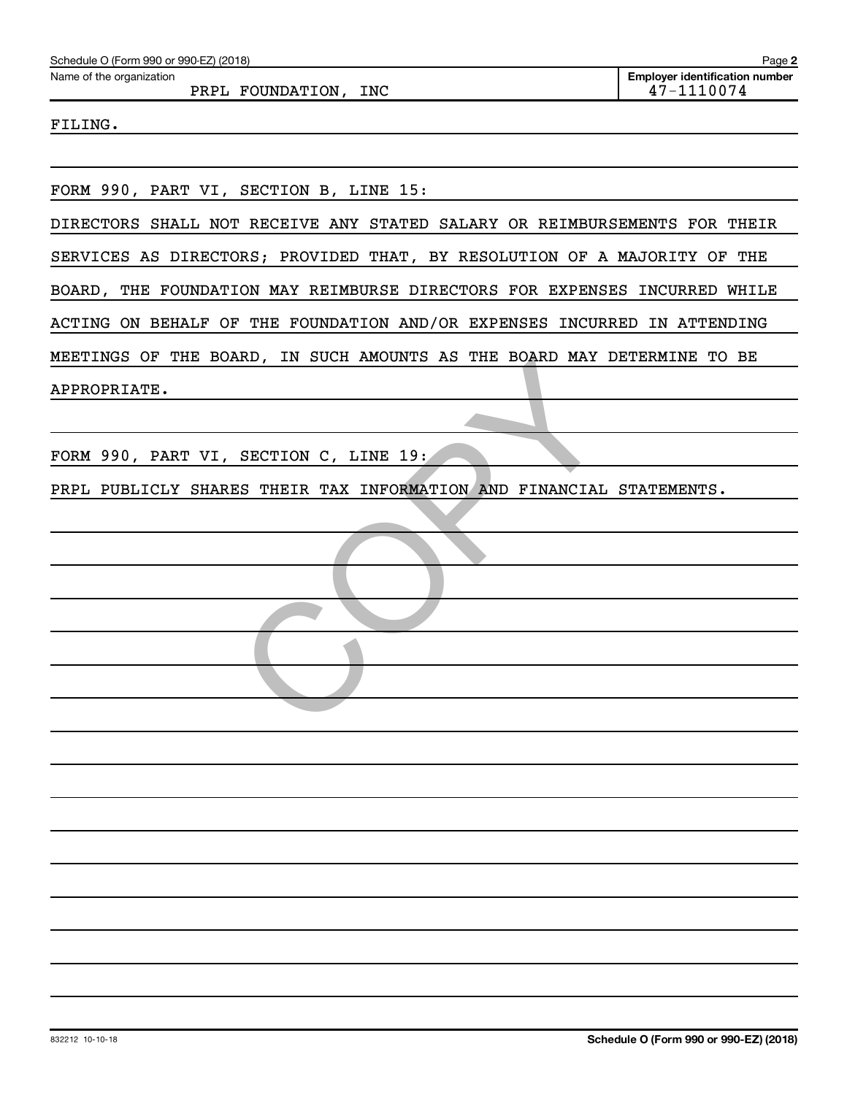| Schedule O (Form 990 or 990-EZ) (2018)                                    | Page 2                                              |
|---------------------------------------------------------------------------|-----------------------------------------------------|
| Name of the organization<br>PRPL FOUNDATION, INC                          | <b>Employer identification number</b><br>47-1110074 |
| FILING.                                                                   |                                                     |
|                                                                           |                                                     |
| FORM 990, PART VI, SECTION B, LINE 15:                                    |                                                     |
|                                                                           |                                                     |
| DIRECTORS SHALL NOT RECEIVE ANY STATED SALARY OR REIMBURSEMENTS FOR THEIR |                                                     |
| SERVICES AS DIRECTORS; PROVIDED THAT, BY RESOLUTION OF A MAJORITY OF THE  |                                                     |
| BOARD, THE FOUNDATION MAY REIMBURSE DIRECTORS FOR EXPENSES INCURRED WHILE |                                                     |
| ACTING ON BEHALF OF THE FOUNDATION AND/OR EXPENSES INCURRED IN ATTENDING  |                                                     |
| MEETINGS OF THE BOARD, IN SUCH AMOUNTS AS THE BOARD MAY DETERMINE TO BE   |                                                     |
| APPROPRIATE.                                                              |                                                     |
|                                                                           |                                                     |
| FORM 990, PART VI, SECTION C, LINE 19:                                    |                                                     |
| PRPL PUBLICLY SHARES THEIR TAX INFORMATION AND FINANCIAL STATEMENTS.      |                                                     |
|                                                                           |                                                     |
|                                                                           |                                                     |
|                                                                           |                                                     |
|                                                                           |                                                     |
|                                                                           |                                                     |
|                                                                           |                                                     |
|                                                                           |                                                     |
|                                                                           |                                                     |
|                                                                           |                                                     |
|                                                                           |                                                     |
|                                                                           |                                                     |
|                                                                           |                                                     |
|                                                                           |                                                     |
|                                                                           |                                                     |
|                                                                           |                                                     |
|                                                                           |                                                     |
|                                                                           |                                                     |